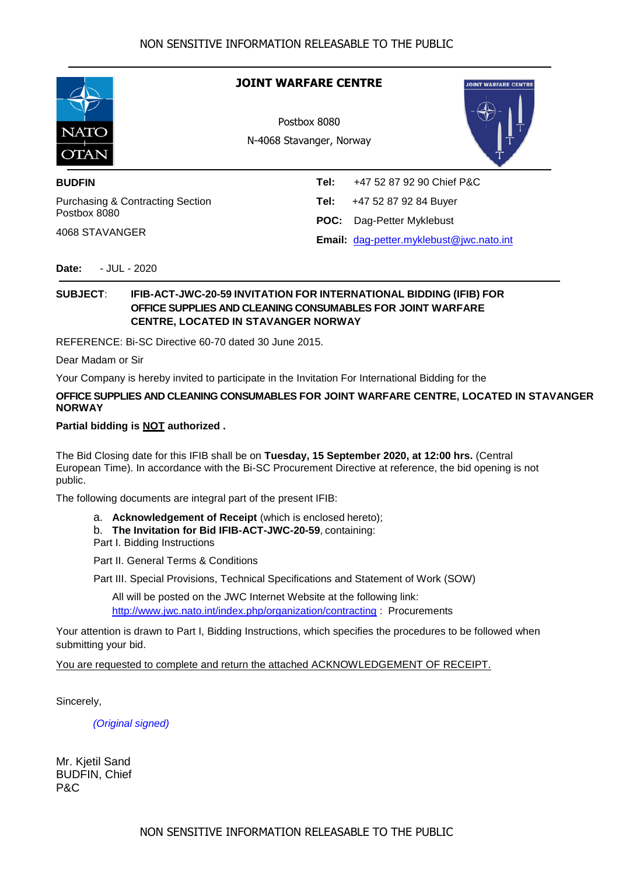

#### **JOINT WARFARE CENTRE**

Postbox 8080 N-4068 Stavanger, Norway



**BUDFIN**

Purchasing & Contracting Section Postbox 8080

4068 STAVANGER

Tel: +47 52 87 92 90 Chief P&C **Tel:** +47 52 87 92 84 Buyer **POC:** Dag-Petter Myklebust

**Email:** [dag-petter.myklebust@jwc.nato.int](mailto:dag-petter.myklebust@jwc.nato.int)

**Date:** - JUL - 2020

#### **SUBJECT**: **IFIB-ACT-JWC-20-59 INVITATION FOR INTERNATIONAL BIDDING (IFIB) FOR OFFICE SUPPLIES AND CLEANING CONSUMABLES FOR JOINT WARFARE CENTRE, LOCATED IN STAVANGER NORWAY**

REFERENCE: Bi-SC Directive 60-70 dated 30 June 2015.

Dear Madam or Sir

Your Company is hereby invited to participate in the Invitation For International Bidding for the

#### **OFFICE SUPPLIES AND CLEANING CONSUMABLES FOR JOINT WARFARE CENTRE, LOCATED IN STAVANGER NORWAY**

#### **Partial bidding is NOT authorized .**

The Bid Closing date for this IFIB shall be on **Tuesday, 15 September 2020, at 12:00 hrs.** (Central European Time). In accordance with the Bi-SC Procurement Directive at reference, the bid opening is not public.

The following documents are integral part of the present IFIB:

a. **Acknowledgement of Receipt** (which is enclosed hereto);

b. **The Invitation for Bid IFIB-ACT-JWC-20-59**, containing:

Part I. Bidding Instructions

Part II. General Terms & Conditions

Part III. Special Provisions, Technical Specifications and Statement of Work (SOW)

All will be posted on the JWC Internet Website at the following link: <http://www.jwc.nato.int/index.php/organization/contracting> : Procurements

Your attention is drawn to Part I, Bidding Instructions, which specifies the procedures to be followed when submitting your bid.

You are requested to complete and return the attached ACKNOWLEDGEMENT OF RECEIPT.

Sincerely,

*(Original signed)*

Mr. Kjetil Sand BUDFIN, Chief P&C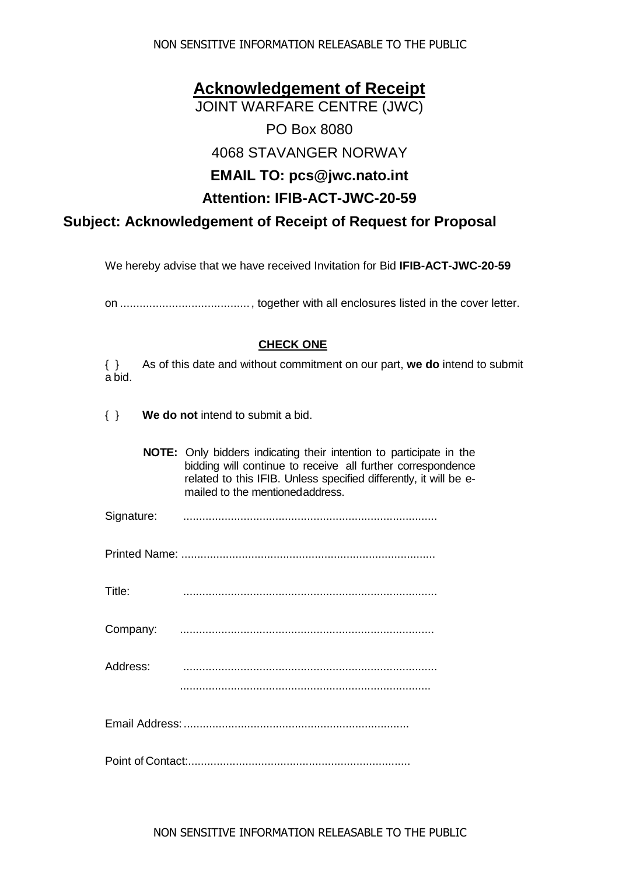NON SENSITIVE INFORMATION RELEASABLE TO THE PUBLIC

# **Acknowledgement of Receipt** JOINT WARFARE CENTRE (JWC) PO Box 8080 4068 STAVANGER NORWAY **EMAIL TO: [pcs@jwc.nato.int](mailto:pcs@jwc.nato.int) Attention: IFIB-ACT-JWC-20-59 Subject: Acknowledgement of Receipt of Request for Proposal**

We hereby advise that we have received Invitation for Bid **IFIB-ACT-JWC-20-59**

on ........................................, together with all enclosures listed in the cover letter.

#### **CHECK ONE**

{ } As of this date and without commitment on our part, **we do** intend to submit a bid.

{ } **We do not** intend to submit a bid.

| <b>NOTE:</b> Only bidders indicating their intention to participate in the |
|----------------------------------------------------------------------------|
| bidding will continue to receive all further correspondence                |
| related to this IFIB. Unless specified differently, it will be e-          |
| mailed to the mentioned address.                                           |

| Signature: |  |
|------------|--|
|------------|--|

Title: ................................................................................

Company: ................................................................................

Address: ................................................................................

...............................................................................

Email Address: .......................................................................

Point of Contact:......................................................................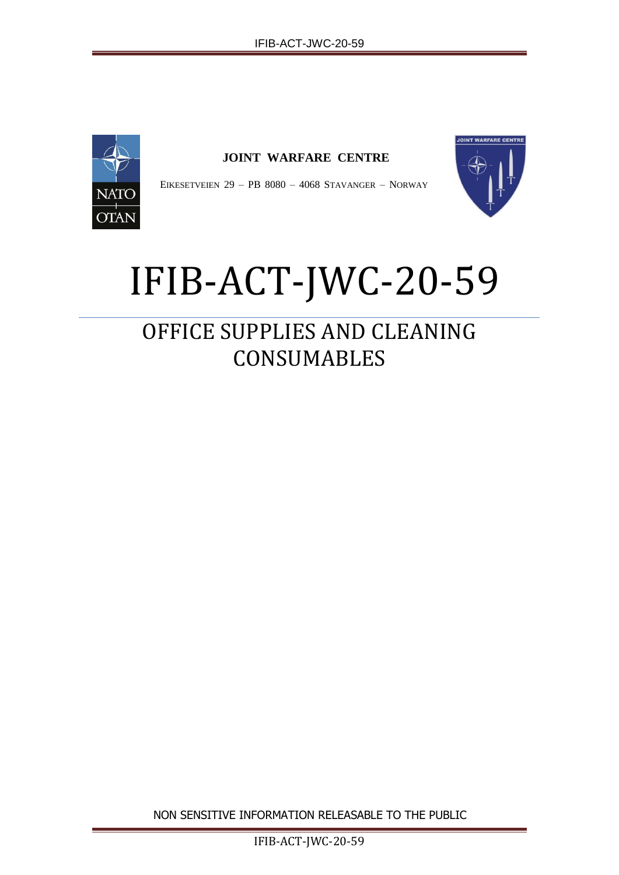

# **JOINT WARFARE CENTRE**

EIKESETVEIEN 29 – PB 8080 – 4068 STAVANGER – NORWAY



# IFIB-ACT-JWC-20-59

# OFFICE SUPPLIES AND CLEANING **CONSUMABLES**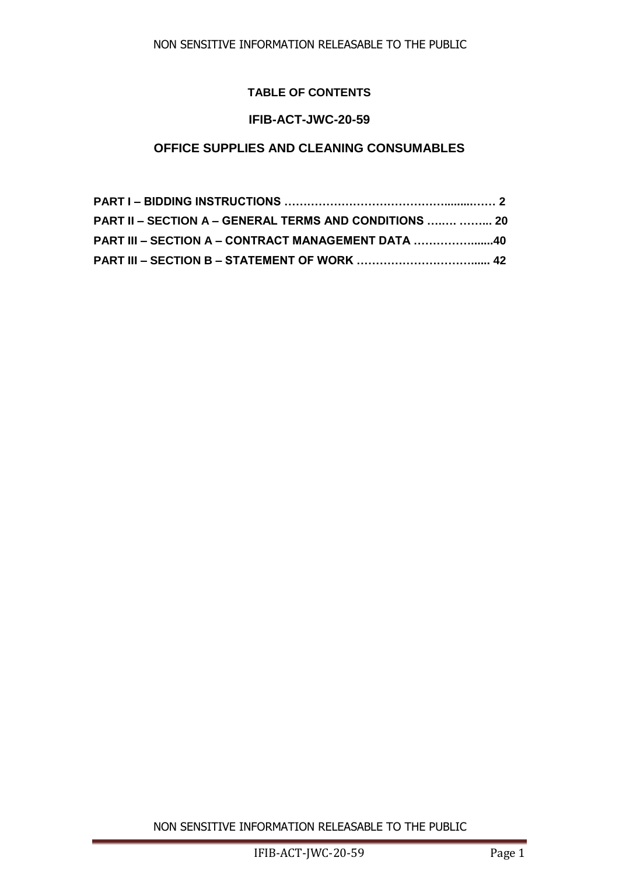# **TABLE OF CONTENTS**

#### **IFIB-ACT-JWC-20-59**

#### **OFFICE SUPPLIES AND CLEANING CONSUMABLES**

| PART II - SECTION A - GENERAL TERMS AND CONDITIONS   20 |  |
|---------------------------------------------------------|--|
| PART III - SECTION A - CONTRACT MANAGEMENT DATA 40      |  |
|                                                         |  |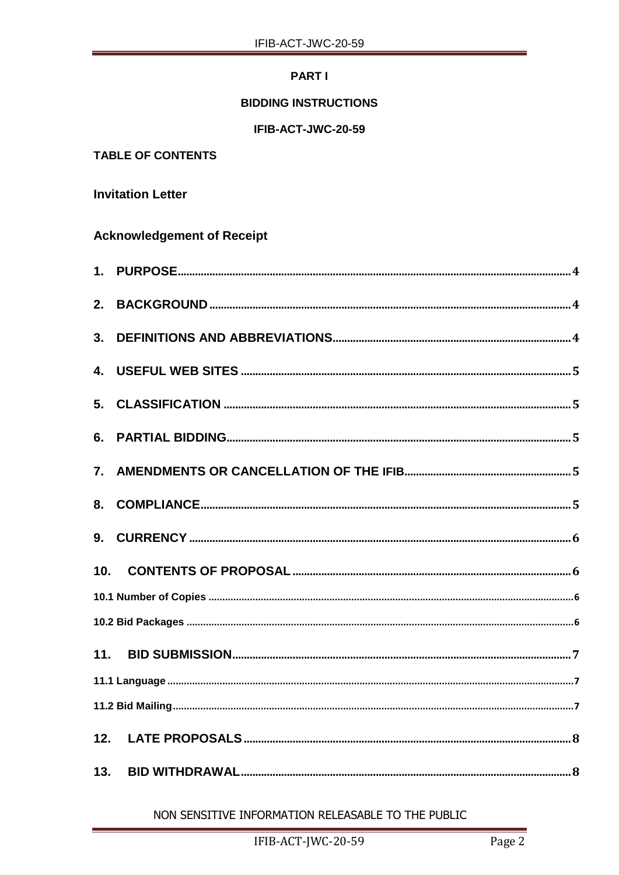# **PARTI**

#### **BIDDING INSTRUCTIONS**

#### IFIB-ACT-JWC-20-59

# **TABLE OF CONTENTS**

# **Invitation Letter**

# **Acknowledgement of Receipt**

| 2.  |  |
|-----|--|
| 3.  |  |
|     |  |
|     |  |
|     |  |
| 7.  |  |
|     |  |
|     |  |
| 10. |  |
|     |  |
|     |  |
|     |  |
|     |  |
|     |  |
|     |  |
|     |  |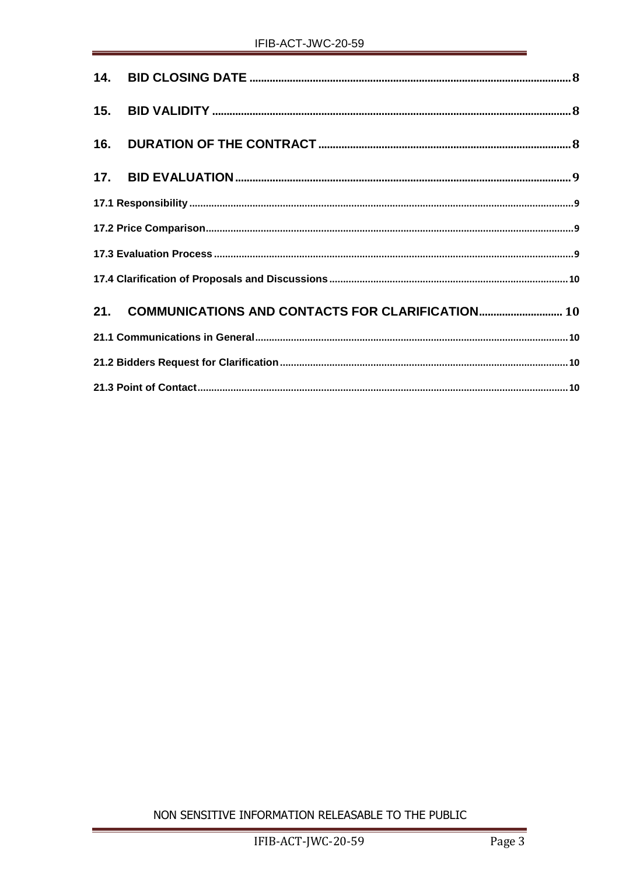| 21. COMMUNICATIONS AND CONTACTS FOR CLARIFICATION 10 |  |
|------------------------------------------------------|--|
|                                                      |  |
|                                                      |  |
|                                                      |  |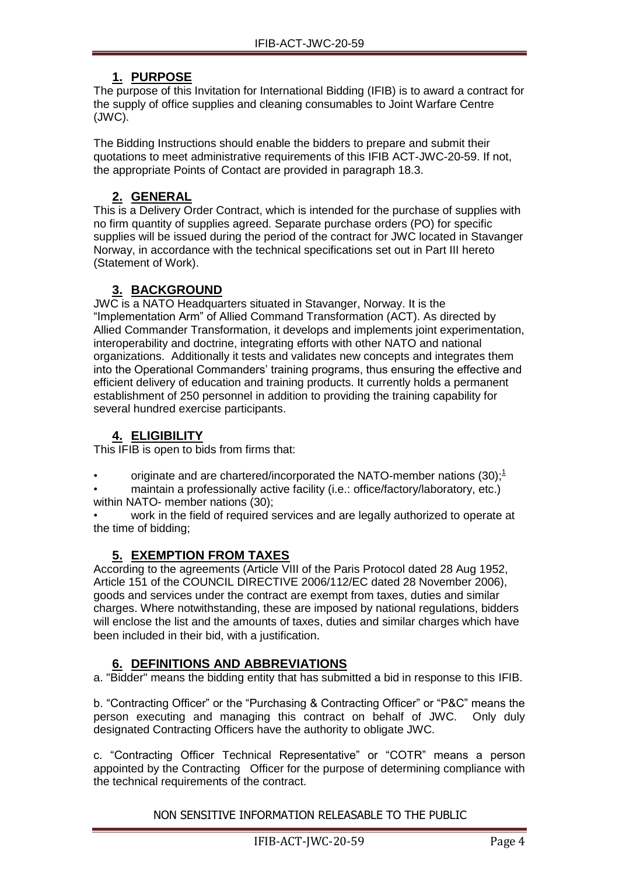# **1. PURPOSE**

<span id="page-6-0"></span>The purpose of this Invitation for International Bidding (IFIB) is to award a contract for the supply of office supplies and cleaning consumables to Joint Warfare Centre (JWC).

The Bidding Instructions should enable the bidders to prepare and submit their quotations to meet administrative requirements of this IFIB ACT-JWC-20-59. If not, the appropriate Points of Contact are provided in paragraph 18.3.

# **2. GENERAL**

This is a Delivery Order Contract, which is intended for the purchase of supplies with no firm quantity of supplies agreed. Separate purchase orders (PO) for specific supplies will be issued during the period of the contract for JWC located in Stavanger Norway, in accordance with the technical specifications set out in Part III hereto (Statement of Work).

# **3. BACKGROUND**

<span id="page-6-1"></span>JWC is a NATO Headquarters situated in Stavanger, Norway. It is the "Implementation Arm" of Allied Command Transformation (ACT). As directed by Allied Commander Transformation, it develops and implements joint experimentation, interoperability and doctrine, integrating efforts with other NATO and national organizations. Additionally it tests and validates new concepts and integrates them into the Operational Commanders' training programs, thus ensuring the effective and efficient delivery of education and training products. It currently holds a permanent establishment of 250 personnel in addition to providing the training capability for several hundred exercise participants.

# **4. ELIGIBILITY**

This IFIB is open to bids from firms that:

• originate and are chartered/incorporated the NATO-member nations  $(30)$ ;<sup>1</sup>

• maintain a professionally active facility (i.e.: office/factory/laboratory, etc.) within NATO- member nations (30);

• work in the field of required services and are legally authorized to operate at the time of bidding;

# **5. EXEMPTION FROM TAXES**

According to the agreements (Article VIII of the Paris Protocol dated 28 Aug 1952, Article 151 of the COUNCIL DIRECTIVE 2006/112/EC dated 28 November 2006), goods and services under the contract are exempt from taxes, duties and similar charges. Where notwithstanding, these are imposed by national regulations, bidders will enclose the list and the amounts of taxes, duties and similar charges which have been included in their bid, with a justification.

# **6. DEFINITIONS AND ABBREVIATIONS**

<span id="page-6-2"></span>a. "Bidder" means the bidding entity that has submitted a bid in response to this IFIB.

b. "Contracting Officer" or the "Purchasing & Contracting Officer" or "P&C" means the person executing and managing this contract on behalf of JWC. Only duly designated Contracting Officers have the authority to obligate JWC.

c. "Contracting Officer Technical Representative" or "COTR" means a person appointed by the Contracting Officer for the purpose of determining compliance with the technical requirements of the contract.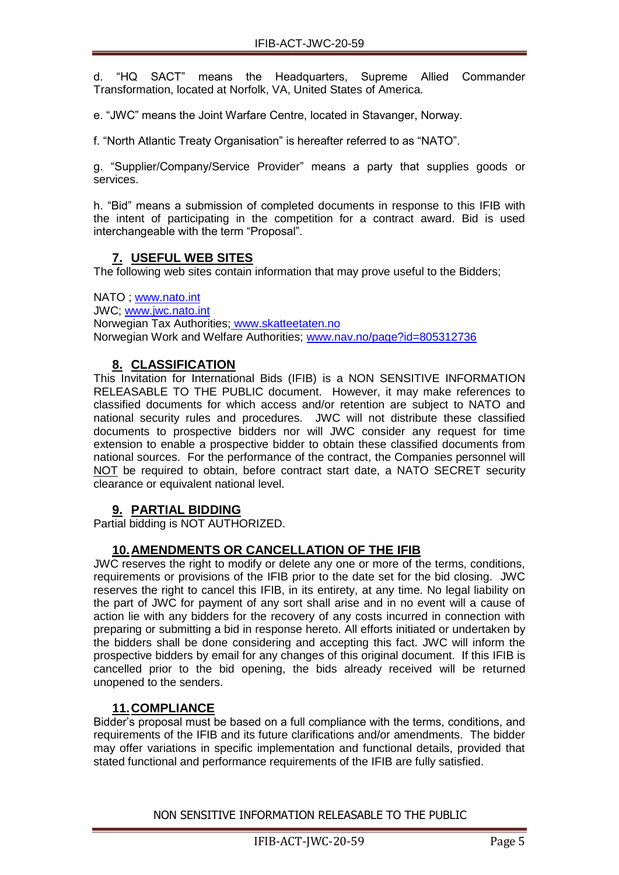d. "HQ SACT" means the Headquarters, Supreme Allied Commander Transformation, located at Norfolk, VA, United States of America.

e. "JWC" means the Joint Warfare Centre, located in Stavanger, Norway.

f. "North Atlantic Treaty Organisation" is hereafter referred to as "NATO".

g. "Supplier/Company/Service Provider" means a party that supplies goods or services.

h. "Bid" means a submission of completed documents in response to this IFIB with the intent of participating in the competition for a contract award. Bid is used interchangeable with the term "Proposal".

# **7. USEFUL WEB SITES**

<span id="page-7-0"></span>The following web sites contain information that may prove useful to the Bidders;

NATO ; [www.nato.int](http://www.nato.int/) JWC; [www.jwc.nato.int](http://www.jwc.nato.int/) Norwegian Tax Authorities; [www.skatteetaten.no](http://www.skatteetaten.no/) Norwegian Work and Welfare Authorities; [www.nav.no/page?id=805312736](http://www.nav.no/page?id=805312736)

# **8. CLASSIFICATION**

<span id="page-7-1"></span>This Invitation for International Bids (IFIB) is a NON SENSITIVE INFORMATION RELEASABLE TO THE PUBLIC document. However, it may make references to classified documents for which access and/or retention are subject to NATO and national security rules and procedures. JWC will not distribute these classified documents to prospective bidders nor will JWC consider any request for time extension to enable a prospective bidder to obtain these classified documents from national sources. For the performance of the contract, the Companies personnel will NOT be required to obtain, before contract start date, a NATO SECRET security clearance or equivalent national level.

#### **9. PARTIAL BIDDING**

<span id="page-7-2"></span>Partial bidding is NOT AUTHORIZED.

# **10.AMENDMENTS OR CANCELLATION OF THE IFIB**

<span id="page-7-3"></span>JWC reserves the right to modify or delete any one or more of the terms, conditions, requirements or provisions of the IFIB prior to the date set for the bid closing. JWC reserves the right to cancel this IFIB, in its entirety, at any time. No legal liability on the part of JWC for payment of any sort shall arise and in no event will a cause of action lie with any bidders for the recovery of any costs incurred in connection with preparing or submitting a bid in response hereto. All efforts initiated or undertaken by the bidders shall be done considering and accepting this fact. JWC will inform the prospective bidders by email for any changes of this original document. If this IFIB is cancelled prior to the bid opening, the bids already received will be returned unopened to the senders.

# **11.COMPLIANCE**

<span id="page-7-4"></span>Bidder's proposal must be based on a full compliance with the terms, conditions, and requirements of the IFIB and its future clarifications and/or amendments. The bidder may offer variations in specific implementation and functional details, provided that stated functional and performance requirements of the IFIB are fully satisfied.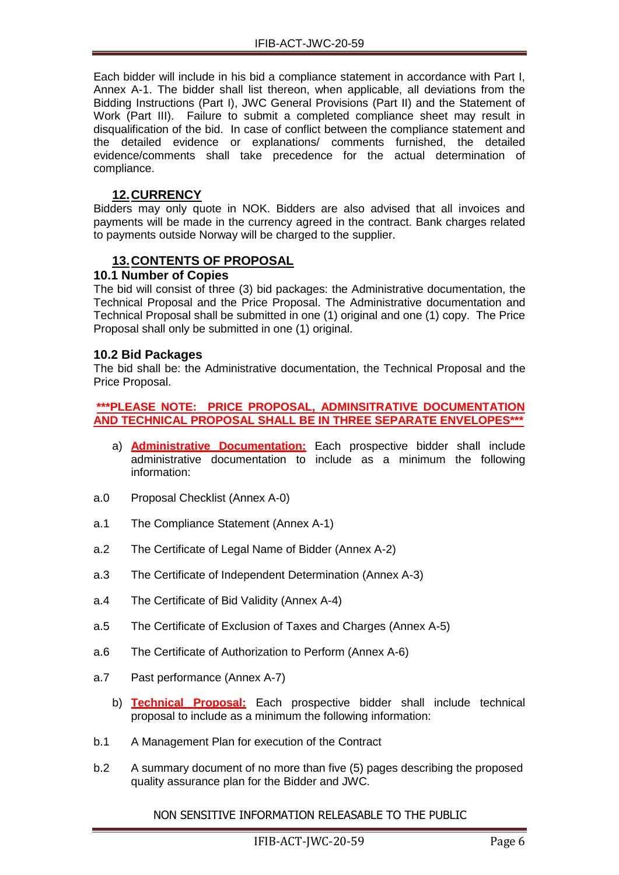Each bidder will include in his bid a compliance statement in accordance with Part I, Annex A-1. The bidder shall list thereon, when applicable, all deviations from the Bidding Instructions (Part I), JWC General Provisions (Part II) and the Statement of Work (Part III). Failure to submit a completed compliance sheet may result in disqualification of the bid. In case of conflict between the compliance statement and the detailed evidence or explanations/ comments furnished, the detailed evidence/comments shall take precedence for the actual determination of compliance.

# **12.CURRENCY**

<span id="page-8-0"></span>Bidders may only quote in NOK. Bidders are also advised that all invoices and payments will be made in the currency agreed in the contract. Bank charges related to payments outside Norway will be charged to the supplier.

# **13.CONTENTS OF PROPOSAL**

#### <span id="page-8-2"></span><span id="page-8-1"></span>**10.1 Number of Copies**

The bid will consist of three (3) bid packages: the Administrative documentation, the Technical Proposal and the Price Proposal. The Administrative documentation and Technical Proposal shall be submitted in one (1) original and one (1) copy. The Price Proposal shall only be submitted in one (1) original.

#### <span id="page-8-3"></span>**10.2 Bid Packages**

The bid shall be: the Administrative documentation, the Technical Proposal and the Price Proposal.

#### **\*\*\*PLEASE NOTE: PRICE PROPOSAL, ADMINSITRATIVE DOCUMENTATION AND TECHNICAL PROPOSAL SHALL BE IN THREE SEPARATE ENVELOPES\*\*\***

- a) **Administrative Documentation:** Each prospective bidder shall include administrative documentation to include as a minimum the following information:
- a.0 Proposal Checklist (Annex A-0)
- a.1 The Compliance Statement (Annex A-1)
- a.2 The Certificate of Legal Name of Bidder (Annex A-2)
- a.3 The Certificate of Independent Determination (Annex A-3)
- a.4 The Certificate of Bid Validity (Annex A-4)
- a.5 The Certificate of Exclusion of Taxes and Charges (Annex A-5)
- a.6 The Certificate of Authorization to Perform (Annex A-6)
- a.7 Past performance (Annex A-7)
	- b) **Technical Proposal:** Each prospective bidder shall include technical proposal to include as a minimum the following information:
- b.1 A Management Plan for execution of the Contract
- b.2 A summary document of no more than five (5) pages describing the proposed quality assurance plan for the Bidder and JWC.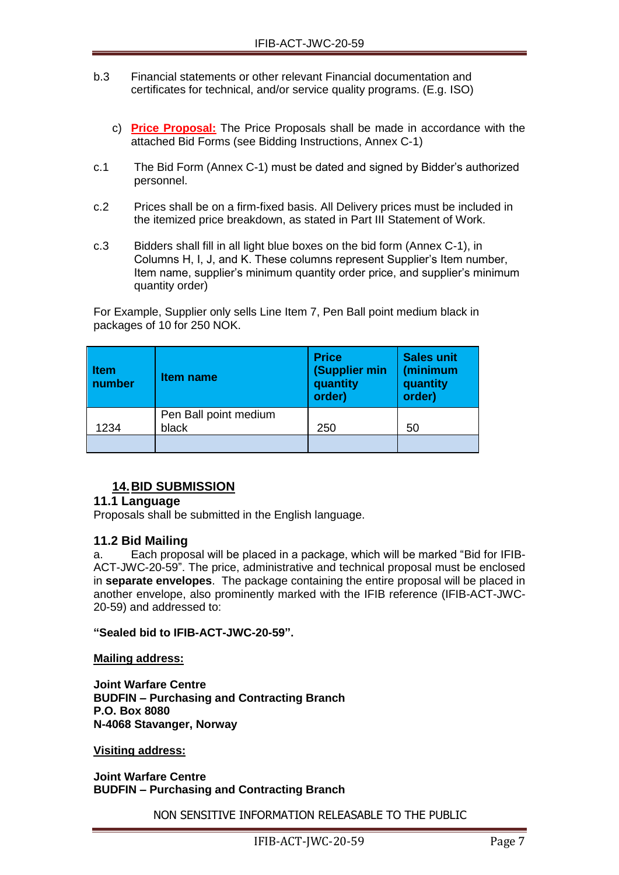- b.3 Financial statements or other relevant Financial documentation and certificates for technical, and/or service quality programs. (E.g. ISO)
	- c) **Price Proposal:** The Price Proposals shall be made in accordance with the attached Bid Forms (see Bidding Instructions, Annex C-1)
- c.1 The Bid Form (Annex C-1) must be dated and signed by Bidder's authorized personnel.
- c.2 Prices shall be on a firm-fixed basis. All Delivery prices must be included in the itemized price breakdown, as stated in Part III Statement of Work.
- c.3 Bidders shall fill in all light blue boxes on the bid form (Annex C-1), in Columns H, I, J, and K. These columns represent Supplier's Item number, Item name, supplier's minimum quantity order price, and supplier's minimum quantity order)

For Example, Supplier only sells Line Item 7, Pen Ball point medium black in packages of 10 for 250 NOK.

| ltem<br>number | Item name                      | <b>Price</b><br>(Supplier min<br>quantity<br>order) | <b>Sales unit</b><br>(minimum<br>quantity<br>order) |
|----------------|--------------------------------|-----------------------------------------------------|-----------------------------------------------------|
| 1234           | Pen Ball point medium<br>black | 250                                                 | 50                                                  |
|                |                                |                                                     |                                                     |

# **14.BID SUBMISSION**

# <span id="page-9-1"></span><span id="page-9-0"></span>**11.1 Language**

Proposals shall be submitted in the English language.

#### <span id="page-9-2"></span>**11.2 Bid Mailing**

a. Each proposal will be placed in a package, which will be marked "Bid for IFIB-ACT-JWC-20-59". The price, administrative and technical proposal must be enclosed in **separate envelopes**. The package containing the entire proposal will be placed in another envelope, also prominently marked with the IFIB reference (IFIB-ACT-JWC-20-59) and addressed to:

#### **"Sealed bid to IFIB-ACT-JWC-20-59".**

**Mailing address:**

**Joint Warfare Centre BUDFIN – Purchasing and Contracting Branch P.O. Box 8080 N-4068 Stavanger, Norway**

**Visiting address:**

**Joint Warfare Centre BUDFIN – Purchasing and Contracting Branch**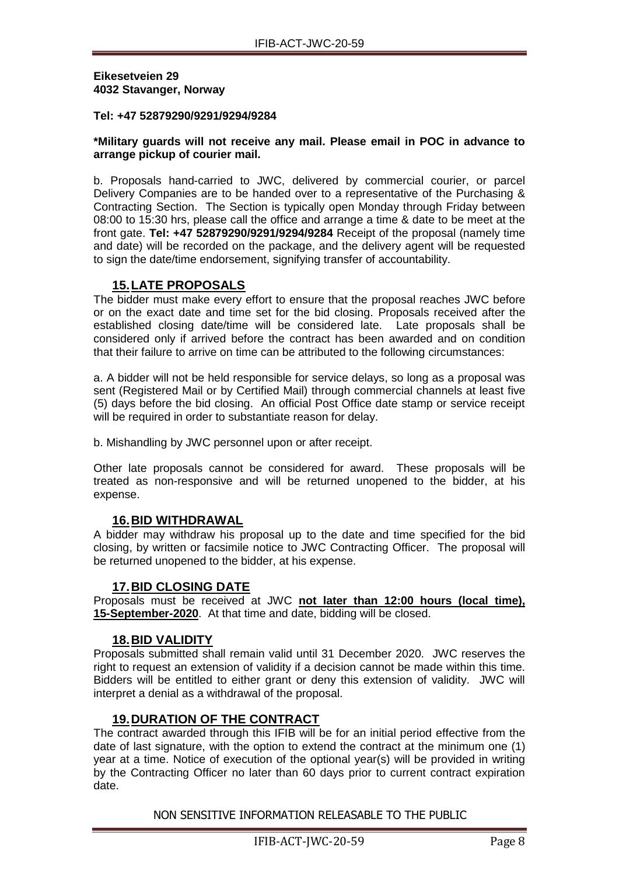#### **Eikesetveien 29 4032 Stavanger, Norway**

#### **Tel: +47 52879290/9291/9294/9284**

#### **\*Military guards will not receive any mail. Please email in POC in advance to arrange pickup of courier mail.**

b. Proposals hand-carried to JWC, delivered by commercial courier, or parcel Delivery Companies are to be handed over to a representative of the Purchasing & Contracting Section. The Section is typically open Monday through Friday between 08:00 to 15:30 hrs, please call the office and arrange a time & date to be meet at the front gate. **Tel: +47 52879290/9291/9294/9284** Receipt of the proposal (namely time and date) will be recorded on the package, and the delivery agent will be requested to sign the date/time endorsement, signifying transfer of accountability.

# **15.LATE PROPOSALS**

<span id="page-10-0"></span>The bidder must make every effort to ensure that the proposal reaches JWC before or on the exact date and time set for the bid closing. Proposals received after the established closing date/time will be considered late. Late proposals shall be considered only if arrived before the contract has been awarded and on condition that their failure to arrive on time can be attributed to the following circumstances:

a. A bidder will not be held responsible for service delays, so long as a proposal was sent (Registered Mail or by Certified Mail) through commercial channels at least five (5) days before the bid closing. An official Post Office date stamp or service receipt will be required in order to substantiate reason for delay.

b. Mishandling by JWC personnel upon or after receipt.

Other late proposals cannot be considered for award. These proposals will be treated as non-responsive and will be returned unopened to the bidder, at his expense.

#### **16.BID WITHDRAWAL**

<span id="page-10-1"></span>A bidder may withdraw his proposal up to the date and time specified for the bid closing, by written or facsimile notice to JWC Contracting Officer. The proposal will be returned unopened to the bidder, at his expense.

# **17.BID CLOSING DATE**

<span id="page-10-2"></span>Proposals must be received at JWC **not later than 12:00 hours (local time), 15-September-2020**. At that time and date, bidding will be closed.

#### **18.BID VALIDITY**

<span id="page-10-3"></span>Proposals submitted shall remain valid until 31 December 2020. JWC reserves the right to request an extension of validity if a decision cannot be made within this time. Bidders will be entitled to either grant or deny this extension of validity. JWC will interpret a denial as a withdrawal of the proposal.

# **19.DURATION OF THE CONTRACT**

<span id="page-10-4"></span>The contract awarded through this IFIB will be for an initial period effective from the date of last signature, with the option to extend the contract at the minimum one (1) year at a time. Notice of execution of the optional year(s) will be provided in writing by the Contracting Officer no later than 60 days prior to current contract expiration date.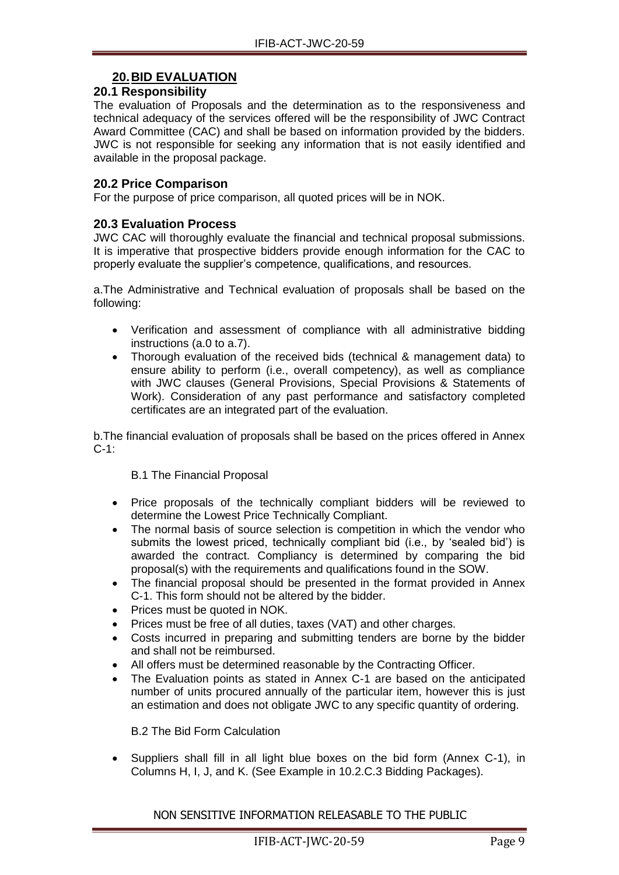# **20.BID EVALUATION**

#### <span id="page-11-1"></span><span id="page-11-0"></span>**20.1 Responsibility**

The evaluation of Proposals and the determination as to the responsiveness and technical adequacy of the services offered will be the responsibility of JWC Contract Award Committee (CAC) and shall be based on information provided by the bidders. JWC is not responsible for seeking any information that is not easily identified and available in the proposal package.

#### <span id="page-11-2"></span>**20.2 Price Comparison**

For the purpose of price comparison, all quoted prices will be in NOK.

#### <span id="page-11-3"></span>**20.3 Evaluation Process**

JWC CAC will thoroughly evaluate the financial and technical proposal submissions. It is imperative that prospective bidders provide enough information for the CAC to properly evaluate the supplier's competence, qualifications, and resources.

a.The Administrative and Technical evaluation of proposals shall be based on the following:

- Verification and assessment of compliance with all administrative bidding instructions (a.0 to a.7).
- Thorough evaluation of the received bids (technical & management data) to ensure ability to perform (i.e., overall competency), as well as compliance with JWC clauses (General Provisions, Special Provisions & Statements of Work). Consideration of any past performance and satisfactory completed certificates are an integrated part of the evaluation.

b.The financial evaluation of proposals shall be based on the prices offered in Annex C-1:

#### B.1 The Financial Proposal

- Price proposals of the technically compliant bidders will be reviewed to determine the Lowest Price Technically Compliant.
- The normal basis of source selection is competition in which the vendor who submits the lowest priced, technically compliant bid (i.e., by 'sealed bid') is awarded the contract. Compliancy is determined by comparing the bid proposal(s) with the requirements and qualifications found in the SOW.
- The financial proposal should be presented in the format provided in Annex C-1. This form should not be altered by the bidder.
- Prices must be quoted in NOK.
- Prices must be free of all duties, taxes (VAT) and other charges.
- Costs incurred in preparing and submitting tenders are borne by the bidder and shall not be reimbursed.
- All offers must be determined reasonable by the Contracting Officer.
- The Evaluation points as stated in Annex C-1 are based on the anticipated number of units procured annually of the particular item, however this is just an estimation and does not obligate JWC to any specific quantity of ordering.

B.2 The Bid Form Calculation

 Suppliers shall fill in all light blue boxes on the bid form (Annex C-1), in Columns H, I, J, and K. (See Example in 10.2.C.3 Bidding Packages).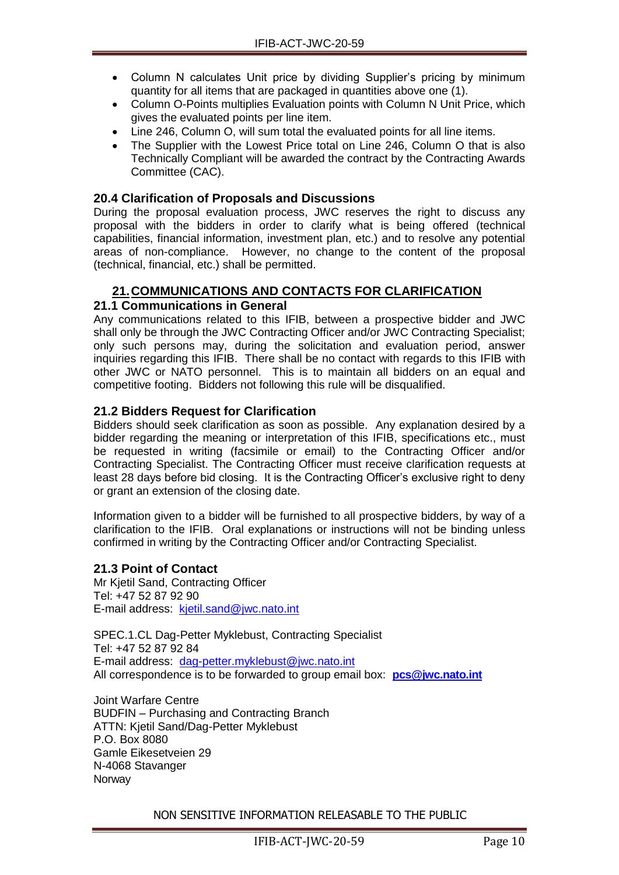- Column N calculates Unit price by dividing Supplier's pricing by minimum quantity for all items that are packaged in quantities above one (1).
- Column O-Points multiplies Evaluation points with Column N Unit Price, which gives the evaluated points per line item.
- Line 246, Column O, will sum total the evaluated points for all line items.
- The Supplier with the Lowest Price total on Line 246, Column O that is also Technically Compliant will be awarded the contract by the Contracting Awards Committee (CAC).

#### <span id="page-12-0"></span>**20.4 Clarification of Proposals and Discussions**

During the proposal evaluation process, JWC reserves the right to discuss any proposal with the bidders in order to clarify what is being offered (technical capabilities, financial information, investment plan, etc.) and to resolve any potential areas of non-compliance. However, no change to the content of the proposal (technical, financial, etc.) shall be permitted.

# **21.COMMUNICATIONS AND CONTACTS FOR CLARIFICATION**

#### <span id="page-12-2"></span><span id="page-12-1"></span>**21.1 Communications in General**

Any communications related to this IFIB, between a prospective bidder and JWC shall only be through the JWC Contracting Officer and/or JWC Contracting Specialist; only such persons may, during the solicitation and evaluation period, answer inquiries regarding this IFIB. There shall be no contact with regards to this IFIB with other JWC or NATO personnel. This is to maintain all bidders on an equal and competitive footing. Bidders not following this rule will be disqualified.

#### <span id="page-12-3"></span>**21.2 Bidders Request for Clarification**

Bidders should seek clarification as soon as possible. Any explanation desired by a bidder regarding the meaning or interpretation of this IFIB, specifications etc., must be requested in writing (facsimile or email) to the Contracting Officer and/or Contracting Specialist. The Contracting Officer must receive clarification requests at least 28 days before bid closing. It is the Contracting Officer's exclusive right to deny or grant an extension of the closing date.

Information given to a bidder will be furnished to all prospective bidders, by way of a clarification to the IFIB. Oral explanations or instructions will not be binding unless confirmed in writing by the Contracting Officer and/or Contracting Specialist.

#### <span id="page-12-4"></span>**21.3 Point of Contact**

Mr Kjetil Sand, Contracting Officer Tel: +47 52 87 92 90 E-mail address: [kjetil.sand@jwc.nato.int](mailto:kjetil.sand@jwc.nato.int)

SPEC.1.CL Dag-Petter Myklebust, Contracting Specialist Tel: +47 52 87 92 84 E-mail address: [dag-petter.myklebust@jwc.nato.int](mailto:dag-petter.myklebust@jwc.nato.int) All correspondence is to be forwarded to group email box: **[pcs@jwc.nato.int](mailto:pcs@jwc.nato.int)**

Joint Warfare Centre BUDFIN – Purchasing and Contracting Branch ATTN: Kjetil Sand/Dag-Petter Myklebust P.O. Box 8080 Gamle Eikesetveien 29 N-4068 Stavanger **Norway**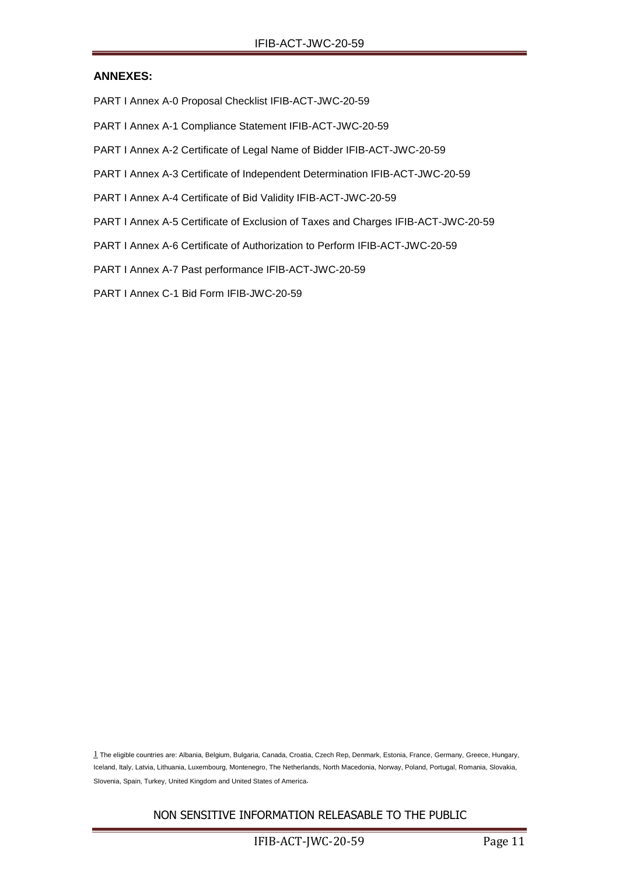#### **ANNEXES:**

- PART I Annex A-0 Proposal Checklist IFIB-ACT-JWC-20-59
- PART I Annex A-1 Compliance Statement IFIB-ACT-JWC-20-59
- PART I Annex A-2 Certificate of Legal Name of Bidder IFIB-ACT-JWC-20-59
- PART I Annex A-3 Certificate of Independent Determination IFIB-ACT-JWC-20-59
- PART I Annex A-4 Certificate of Bid Validity IFIB-ACT-JWC-20-59
- PART I Annex A-5 Certificate of Exclusion of Taxes and Charges IFIB-ACT-JWC-20-59
- PART I Annex A-6 Certificate of Authorization to Perform IFIB-ACT-JWC-20-59
- PART I Annex A-7 Past performance IFIB-ACT-JWC-20-59
- PART I Annex C-1 Bid Form IFIB-JWC-20-59

1 The eligible countries are: Albania, Belgium, Bulgaria, Canada, Croatia, Czech Rep, Denmark, Estonia, France, Germany, Greece, Hungary, Iceland, Italy, Latvia, Lithuania, Luxembourg, Montenegro, The Netherlands, North Macedonia, Norway, Poland, Portugal, Romania, Slovakia, Slovenia, Spain, Turkey, United Kingdom and United States of America.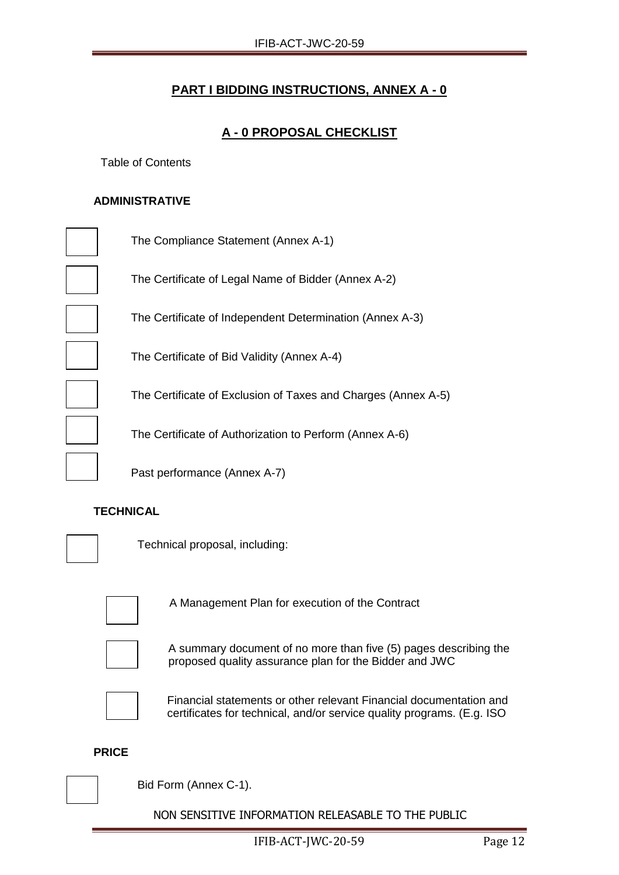# **A - 0 PROPOSAL CHECKLIST**

Table of Contents

#### **ADMINISTRATIVE**

| The Compliance Statement (Annex A-1)                          |
|---------------------------------------------------------------|
| The Certificate of Legal Name of Bidder (Annex A-2)           |
| The Certificate of Independent Determination (Annex A-3)      |
| The Certificate of Bid Validity (Annex A-4)                   |
| The Certificate of Exclusion of Taxes and Charges (Annex A-5) |
| The Certificate of Authorization to Perform (Annex A-6)       |
| Past performance (Annex A-7)                                  |

# **TECHNICAL**



Technical proposal, including:



A Management Plan for execution of the Contract



A summary document of no more than five (5) pages describing the proposed quality assurance plan for the Bidder and JWC



Financial statements or other relevant Financial documentation and certificates for technical, and/or service quality programs. (E.g. ISO

# **PRICE**

Bid Form (Annex C-1).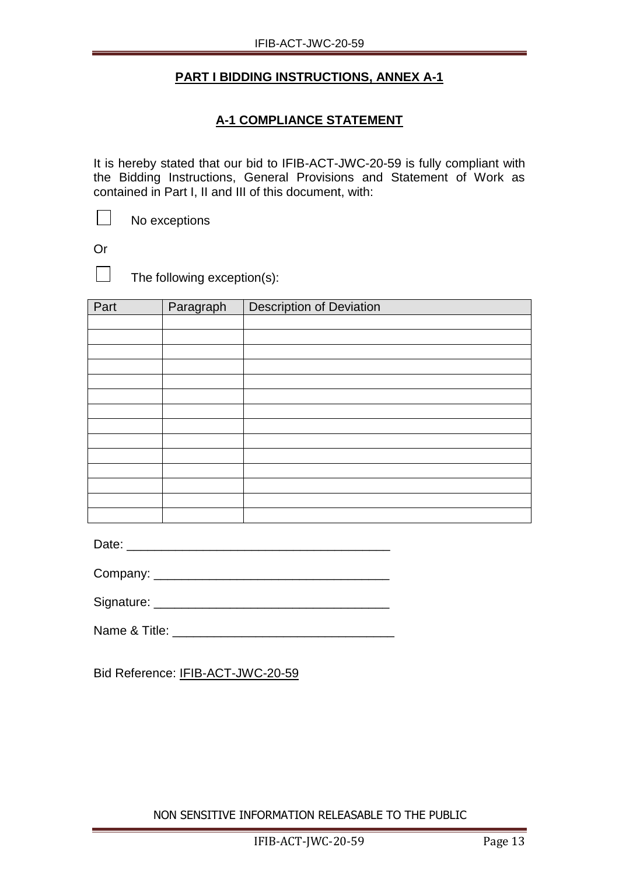# **A-1 COMPLIANCE STATEMENT**

It is hereby stated that our bid to IFIB-ACT-JWC-20-59 is fully compliant with the Bidding Instructions, General Provisions and Statement of Work as contained in Part I, II and III of this document, with:

No exceptions

Or

 $\Box$ 

The following exception(s):

| Part | Paragraph | <b>Description of Deviation</b> |
|------|-----------|---------------------------------|
|      |           |                                 |
|      |           |                                 |
|      |           |                                 |
|      |           |                                 |
|      |           |                                 |
|      |           |                                 |
|      |           |                                 |
|      |           |                                 |
|      |           |                                 |
|      |           |                                 |
|      |           |                                 |
|      |           |                                 |
|      |           |                                 |
|      |           |                                 |

| Date: |  |  |  |
|-------|--|--|--|
|       |  |  |  |

Company: \_\_\_\_\_\_\_\_\_\_\_\_\_\_\_\_\_\_\_\_\_\_\_\_\_\_\_\_\_\_\_\_\_\_

Signature: \_\_\_\_\_\_\_\_\_\_\_\_\_\_\_\_\_\_\_\_\_\_\_\_\_\_\_\_\_\_\_\_\_\_

Name & Title: **We have all the set of the set of the set of the set of the set of the set of the set of the set of the set of the set of the set of the set of the set of the set of the set of the set of the set of the set** 

Bid Reference: IFIB-ACT-JWC-20-59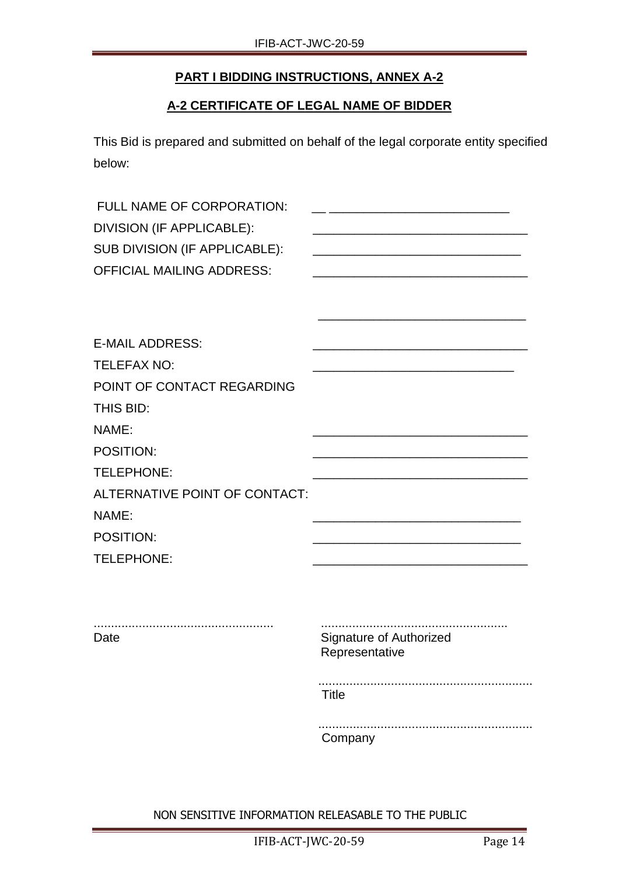# **A-2 CERTIFICATE OF LEGAL NAME OF BIDDER**

This Bid is prepared and submitted on behalf of the legal corporate entity specified below:

| FULL NAME OF CORPORATION:<br>DIVISION (IF APPLICABLE):<br>SUB DIVISION (IF APPLICABLE):<br><b>OFFICIAL MAILING ADDRESS:</b> |                                           |
|-----------------------------------------------------------------------------------------------------------------------------|-------------------------------------------|
| <b>E-MAIL ADDRESS:</b>                                                                                                      |                                           |
| <b>TELEFAX NO:</b>                                                                                                          |                                           |
| POINT OF CONTACT REGARDING                                                                                                  |                                           |
| THIS BID:                                                                                                                   |                                           |
| NAME:                                                                                                                       |                                           |
| POSITION:                                                                                                                   |                                           |
| TELEPHONE:                                                                                                                  |                                           |
| ALTERNATIVE POINT OF CONTACT:                                                                                               |                                           |
| NAME:                                                                                                                       |                                           |
| POSITION:                                                                                                                   |                                           |
| TELEPHONE:                                                                                                                  |                                           |
|                                                                                                                             |                                           |
| Date                                                                                                                        | Signature of Authorized<br>Representative |
|                                                                                                                             | <b>Title</b>                              |
|                                                                                                                             | Company                                   |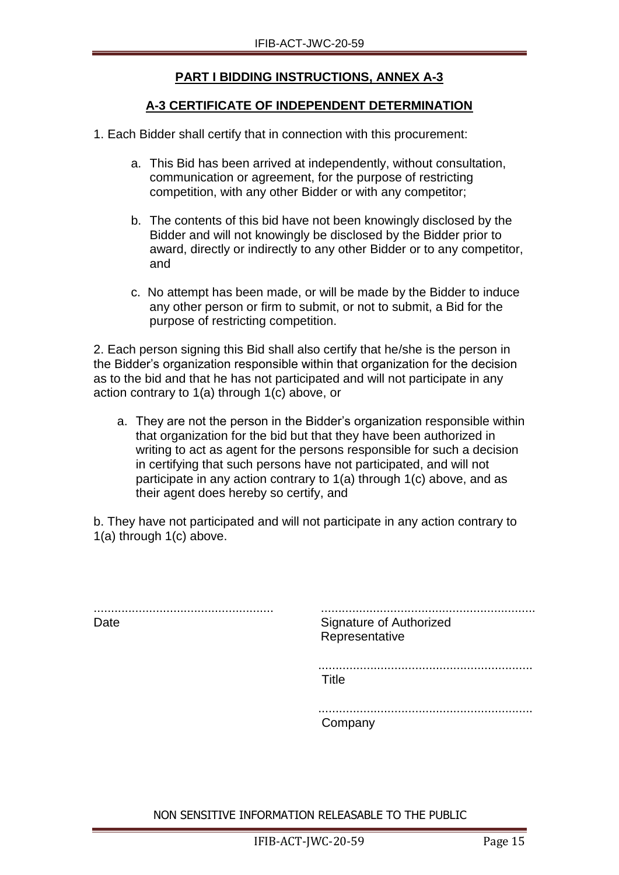# **A-3 CERTIFICATE OF INDEPENDENT DETERMINATION**

- 1. Each Bidder shall certify that in connection with this procurement:
	- a. This Bid has been arrived at independently, without consultation, communication or agreement, for the purpose of restricting competition, with any other Bidder or with any competitor;
	- b. The contents of this bid have not been knowingly disclosed by the Bidder and will not knowingly be disclosed by the Bidder prior to award, directly or indirectly to any other Bidder or to any competitor, and
	- c. No attempt has been made, or will be made by the Bidder to induce any other person or firm to submit, or not to submit, a Bid for the purpose of restricting competition.

2. Each person signing this Bid shall also certify that he/she is the person in the Bidder's organization responsible within that organization for the decision as to the bid and that he has not participated and will not participate in any action contrary to 1(a) through 1(c) above, or

a. They are not the person in the Bidder's organization responsible within that organization for the bid but that they have been authorized in writing to act as agent for the persons responsible for such a decision in certifying that such persons have not participated, and will not participate in any action contrary to 1(a) through 1(c) above, and as their agent does hereby so certify, and

b. They have not participated and will not participate in any action contrary to 1(a) through 1(c) above.

.................................................... Date

.............................................................. Signature of Authorized **Representative** 

.............................................................. Title

.............................................................. Company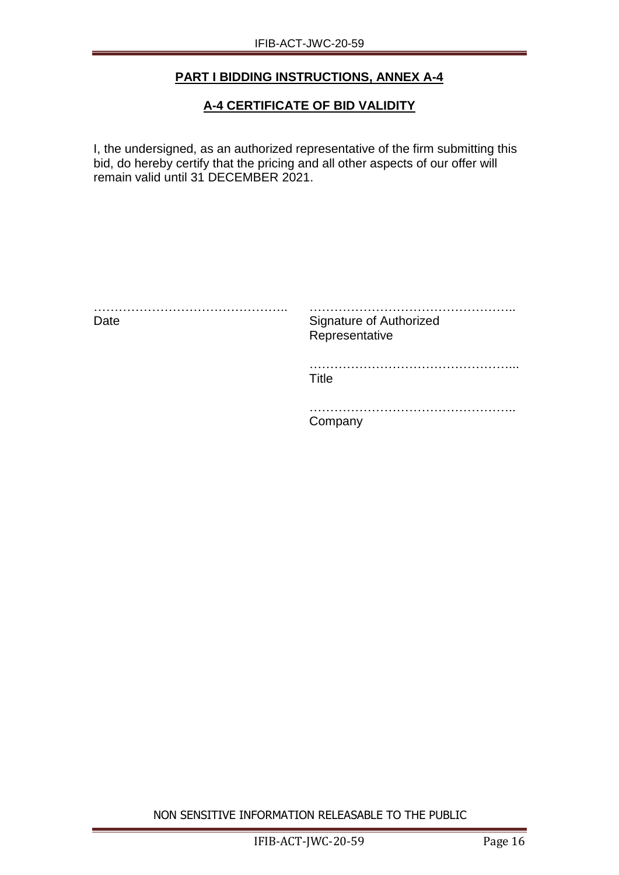# **A-4 CERTIFICATE OF BID VALIDITY**

I, the undersigned, as an authorized representative of the firm submitting this bid, do hereby certify that the pricing and all other aspects of our offer will remain valid until 31 DECEMBER 2021.

| Date | <b>Signature of Authorized</b><br>Representative |
|------|--------------------------------------------------|
|      | Title                                            |
|      | Company                                          |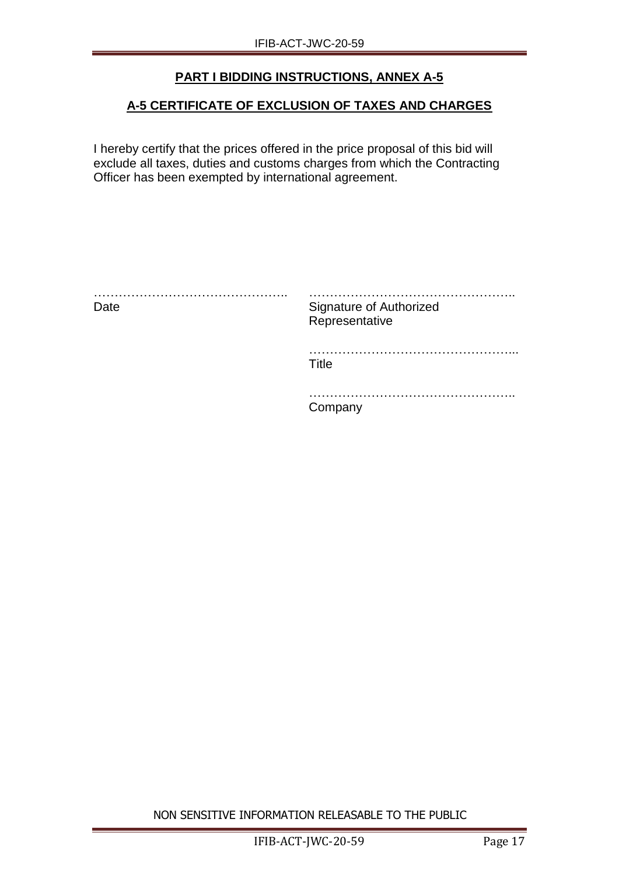# **A-5 CERTIFICATE OF EXCLUSION OF TAXES AND CHARGES**

I hereby certify that the prices offered in the price proposal of this bid will exclude all taxes, duties and customs charges from which the Contracting Officer has been exempted by international agreement.

| Date | Signature of Authorized<br>Representative |
|------|-------------------------------------------|
|      | Title                                     |
|      | .<br>Company                              |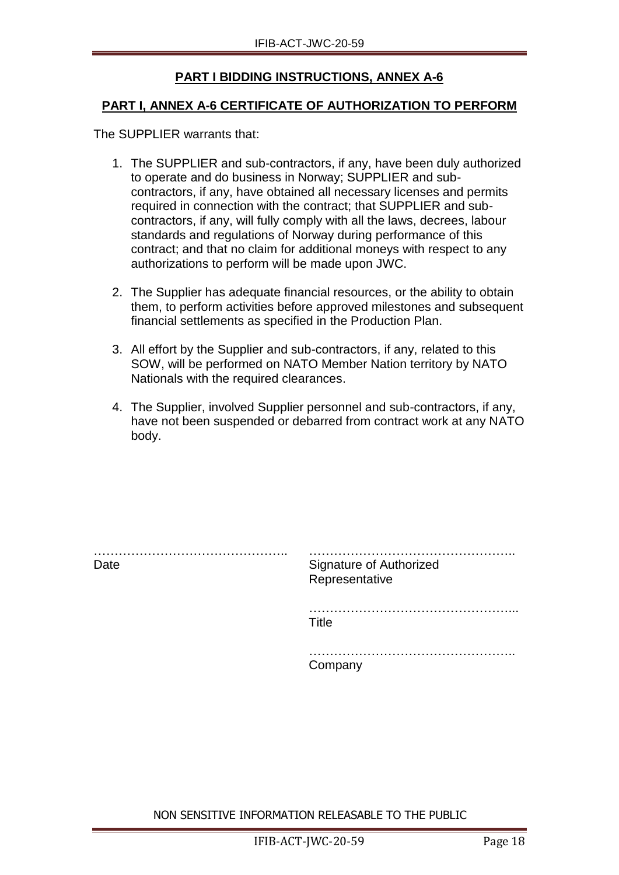# **PART I, ANNEX A-6 CERTIFICATE OF AUTHORIZATION TO PERFORM**

The SUPPLIER warrants that:

- 1. The SUPPLIER and sub-contractors, if any, have been duly authorized to operate and do business in Norway; SUPPLIER and subcontractors, if any, have obtained all necessary licenses and permits required in connection with the contract; that SUPPLIER and subcontractors, if any, will fully comply with all the laws, decrees, labour standards and regulations of Norway during performance of this contract; and that no claim for additional moneys with respect to any authorizations to perform will be made upon JWC.
- 2. The Supplier has adequate financial resources, or the ability to obtain them, to perform activities before approved milestones and subsequent financial settlements as specified in the Production Plan.
- 3. All effort by the Supplier and sub-contractors, if any, related to this SOW, will be performed on NATO Member Nation territory by NATO Nationals with the required clearances.
- 4. The Supplier, involved Supplier personnel and sub-contractors, if any, have not been suspended or debarred from contract work at any NATO body.

| Date | <b>Signature of Authorized</b><br>Representative |
|------|--------------------------------------------------|
|      | <b>Title</b>                                     |
|      | Company                                          |
|      |                                                  |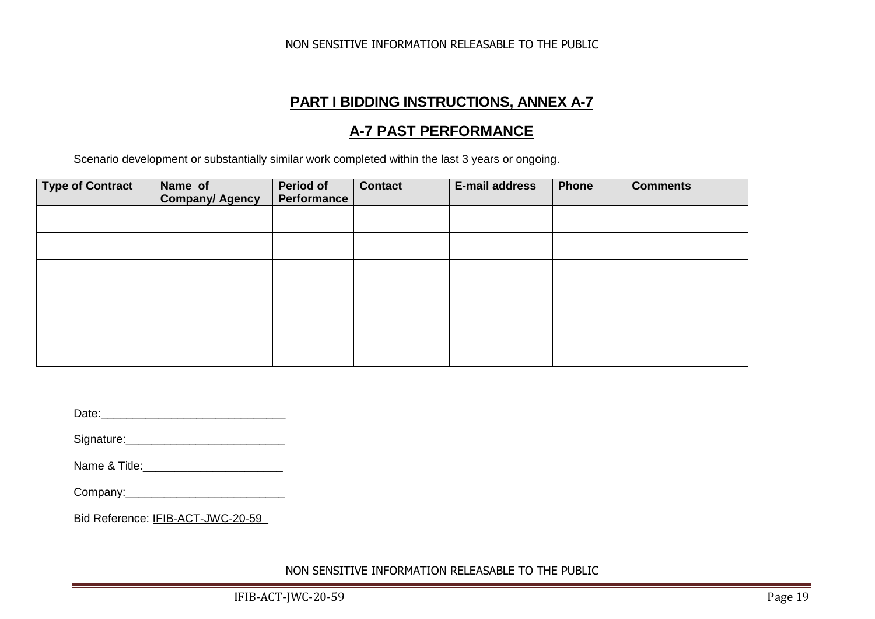NON SENSITIVE INFORMATION RELEASABLE TO THE PUBLIC

# **PART I BIDDING INSTRUCTIONS, ANNEX A-7**

# **A-7 PAST PERFORMANCE**

Scenario development or substantially similar work completed within the last 3 years or ongoing.

| <b>Type of Contract</b> | Name of<br><b>Company/ Agency</b> | <b>Period of</b><br>Performance | <b>Contact</b> | <b>E-mail address</b> | <b>Phone</b> | <b>Comments</b> |
|-------------------------|-----------------------------------|---------------------------------|----------------|-----------------------|--------------|-----------------|
|                         |                                   |                                 |                |                       |              |                 |
|                         |                                   |                                 |                |                       |              |                 |
|                         |                                   |                                 |                |                       |              |                 |
|                         |                                   |                                 |                |                       |              |                 |
|                         |                                   |                                 |                |                       |              |                 |
|                         |                                   |                                 |                |                       |              |                 |

| Date: |
|-------|
|-------|

Signature:\_\_\_\_\_\_\_\_\_\_\_\_\_\_\_\_\_\_\_\_\_\_\_\_\_

| Name & Title: |  |  |  |  |  |
|---------------|--|--|--|--|--|
|               |  |  |  |  |  |

| Company: |  |
|----------|--|
|          |  |

| Bid Reference: IFIB-ACT-JWC-20-59 |
|-----------------------------------|
|-----------------------------------|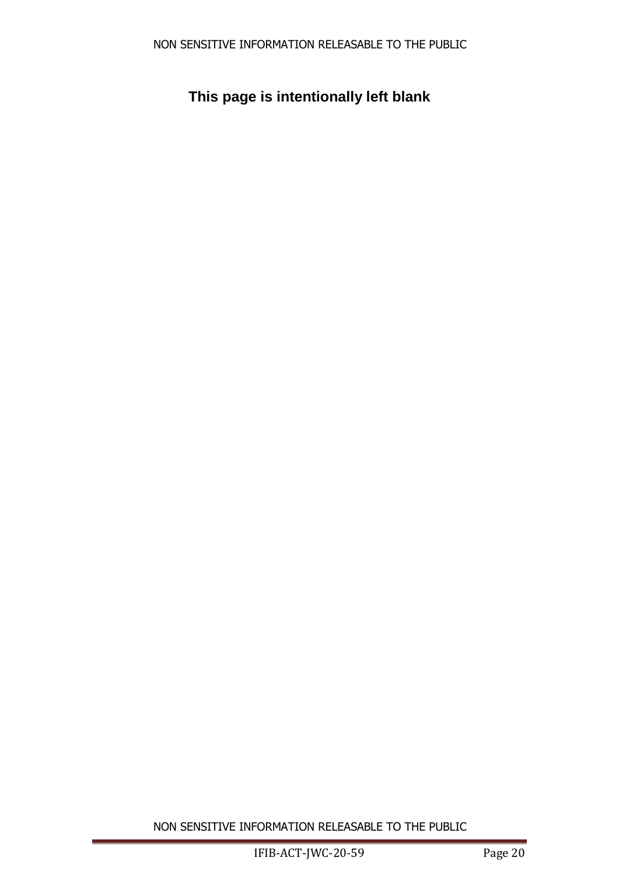# **This page is intentionally left blank**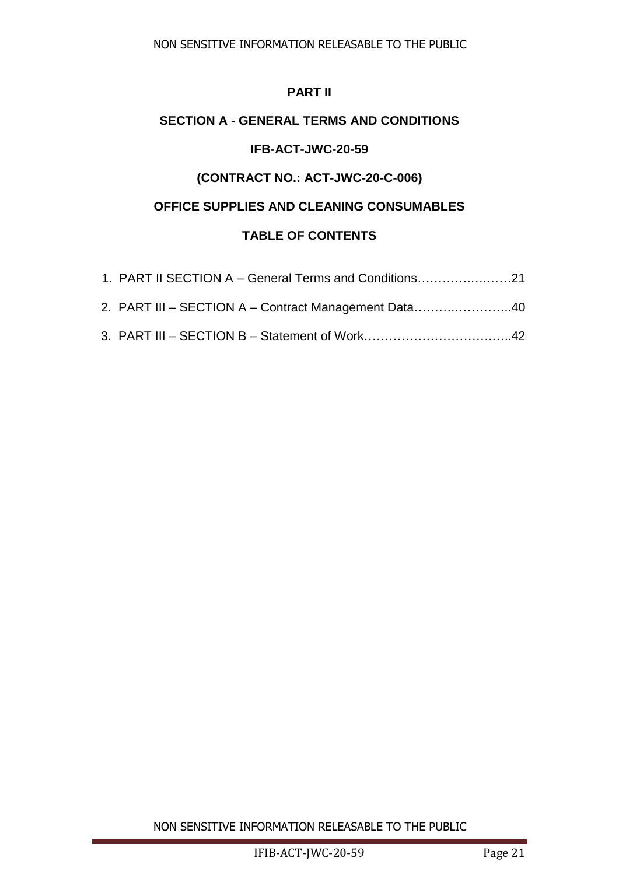NON SENSITIVE INFORMATION RELEASABLE TO THE PUBLIC

# **PART II**

# **SECTION A - GENERAL TERMS AND CONDITIONS**

# **IFB-ACT-JWC-20-59**

# **(CONTRACT NO.: ACT-JWC-20-C-006)**

# **OFFICE SUPPLIES AND CLEANING CONSUMABLES**

# **TABLE OF CONTENTS**

| 1. PART II SECTION A - General Terms and Conditions21 |  |
|-------------------------------------------------------|--|
| 2. PART III - SECTION A - Contract Management Data40  |  |
|                                                       |  |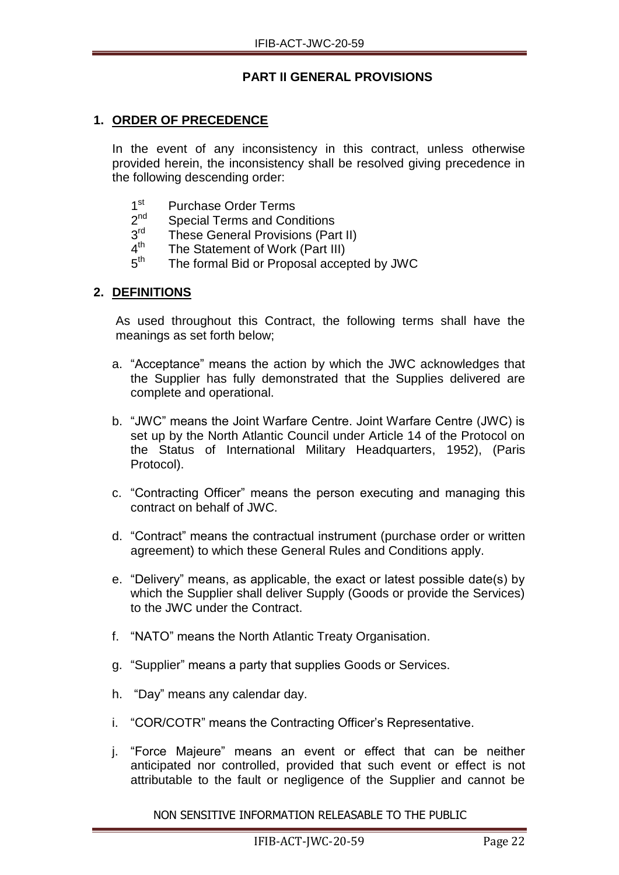# **PART II GENERAL PROVISIONS**

# **1. ORDER OF PRECEDENCE**

In the event of any inconsistency in this contract, unless otherwise provided herein, the inconsistency shall be resolved giving precedence in the following descending order:

- $1<sup>st</sup>$ Purchase Order Terms
- $2<sup>nd</sup>$ Special Terms and Conditions
- $3<sup>rd</sup>$ These General Provisions (Part II)
- $4^{\text{th}}$ The Statement of Work (Part III)
- $5<sup>th</sup>$ The formal Bid or Proposal accepted by JWC

# **2. DEFINITIONS**

As used throughout this Contract, the following terms shall have the meanings as set forth below;

- a. "Acceptance" means the action by which the JWC acknowledges that the Supplier has fully demonstrated that the Supplies delivered are complete and operational.
- b. "JWC" means the Joint Warfare Centre. Joint Warfare Centre (JWC) is set up by the North Atlantic Council under Article 14 of the Protocol on the Status of International Military Headquarters, 1952), (Paris Protocol).
- c. "Contracting Officer" means the person executing and managing this contract on behalf of JWC.
- d. "Contract" means the contractual instrument (purchase order or written agreement) to which these General Rules and Conditions apply.
- e. "Delivery" means, as applicable, the exact or latest possible date(s) by which the Supplier shall deliver Supply (Goods or provide the Services) to the JWC under the Contract.
- f. "NATO" means the North Atlantic Treaty Organisation.
- g. "Supplier" means a party that supplies Goods or Services.
- h. "Day" means any calendar day.
- i. "COR/COTR" means the Contracting Officer's Representative.
- j. "Force Majeure" means an event or effect that can be neither anticipated nor controlled, provided that such event or effect is not attributable to the fault or negligence of the Supplier and cannot be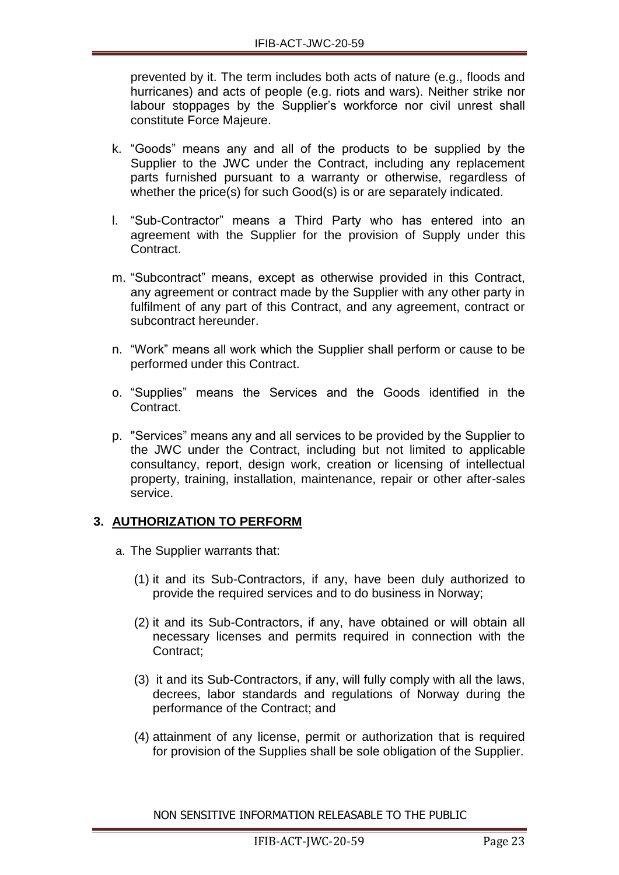prevented by it. The term includes both acts of nature (e.g., floods and hurricanes) and acts of people (e.g. riots and wars). Neither strike nor labour stoppages by the Supplier's workforce nor civil unrest shall constitute Force Majeure.

- k. "Goods" means any and all of the products to be supplied by the Supplier to the JWC under the Contract, including any replacement parts furnished pursuant to a warranty or otherwise, regardless of whether the price(s) for such Good(s) is or are separately indicated.
- l. "Sub-Contractor" means a Third Party who has entered into an agreement with the Supplier for the provision of Supply under this **Contract.**
- m. "Subcontract" means, except as otherwise provided in this Contract, any agreement or contract made by the Supplier with any other party in fulfilment of any part of this Contract, and any agreement, contract or subcontract hereunder.
- n. "Work" means all work which the Supplier shall perform or cause to be performed under this Contract.
- o. "Supplies" means the Services and the Goods identified in the Contract.
- p. "Services" means any and all services to be provided by the Supplier to the JWC under the Contract, including but not limited to applicable consultancy, report, design work, creation or licensing of intellectual property, training, installation, maintenance, repair or other after-sales service.

# **3. AUTHORIZATION TO PERFORM**

- a. The Supplier warrants that:
	- (1) it and its Sub-Contractors, if any, have been duly authorized to provide the required services and to do business in Norway;
	- (2) it and its Sub-Contractors, if any, have obtained or will obtain all necessary licenses and permits required in connection with the Contract;
	- (3) it and its Sub-Contractors, if any, will fully comply with all the laws, decrees, labor standards and regulations of Norway during the performance of the Contract; and
	- (4) attainment of any license, permit or authorization that is required for provision of the Supplies shall be sole obligation of the Supplier.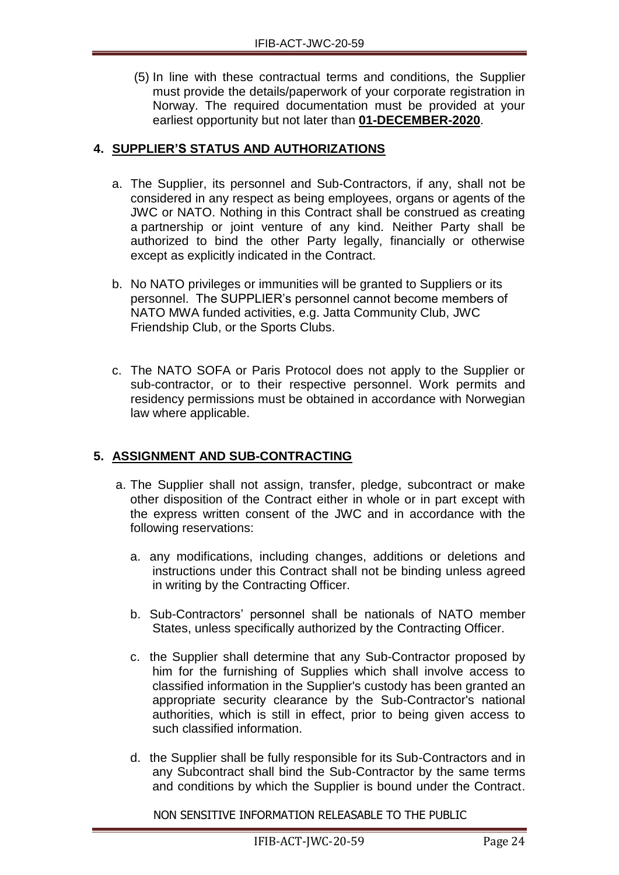(5) In line with these contractual terms and conditions, the Supplier must provide the details/paperwork of your corporate registration in Norway. The required documentation must be provided at your earliest opportunity but not later than **01-DECEMBER-2020**.

# **4. SUPPLIER'S STATUS AND AUTHORIZATIONS**

- a. The Supplier, its personnel and Sub-Contractors, if any, shall not be considered in any respect as being employees, organs or agents of the JWC or NATO. Nothing in this Contract shall be construed as creating a partnership or joint venture of any kind. Neither Party shall be authorized to bind the other Party legally, financially or otherwise except as explicitly indicated in the Contract.
- b. No NATO privileges or immunities will be granted to Suppliers or its personnel. The SUPPLIER's personnel cannot become members of NATO MWA funded activities, e.g. Jatta Community Club, JWC Friendship Club, or the Sports Clubs.
- c. The NATO SOFA or Paris Protocol does not apply to the Supplier or sub-contractor, or to their respective personnel. Work permits and residency permissions must be obtained in accordance with Norwegian law where applicable.

# **5. ASSIGNMENT AND SUB-CONTRACTING**

- a. The Supplier shall not assign, transfer, pledge, subcontract or make other disposition of the Contract either in whole or in part except with the express written consent of the JWC and in accordance with the following reservations:
	- a. any modifications, including changes, additions or deletions and instructions under this Contract shall not be binding unless agreed in writing by the Contracting Officer.
	- b. Sub-Contractors' personnel shall be nationals of NATO member States, unless specifically authorized by the Contracting Officer.
	- c. the Supplier shall determine that any Sub-Contractor proposed by him for the furnishing of Supplies which shall involve access to classified information in the Supplier's custody has been granted an appropriate security clearance by the Sub-Contractor's national authorities, which is still in effect, prior to being given access to such classified information.
	- d. the Supplier shall be fully responsible for its Sub-Contractors and in any Subcontract shall bind the Sub-Contractor by the same terms and conditions by which the Supplier is bound under the Contract.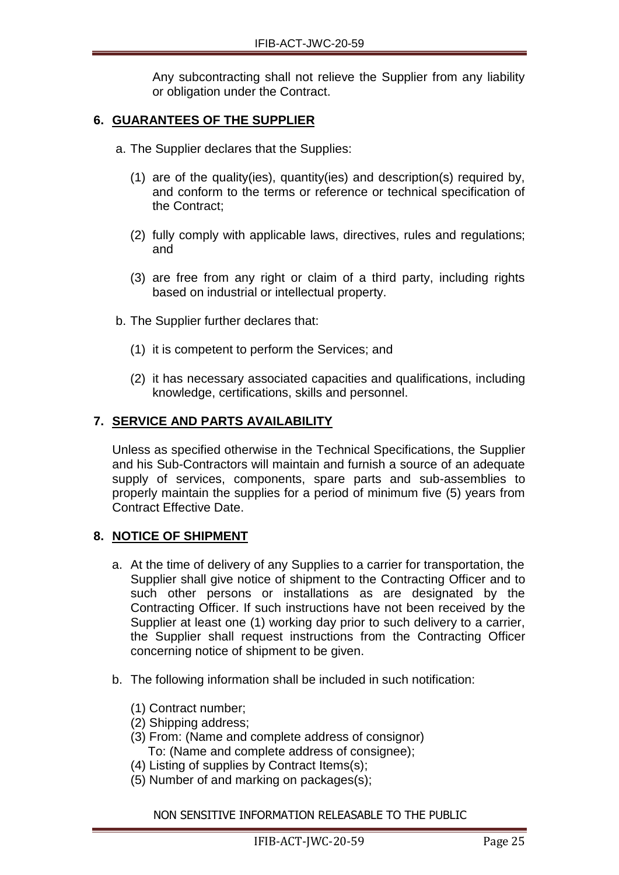Any subcontracting shall not relieve the Supplier from any liability or obligation under the Contract.

# **6. GUARANTEES OF THE SUPPLIER**

- a. The Supplier declares that the Supplies:
	- (1) are of the quality(ies), quantity(ies) and description(s) required by, and conform to the terms or reference or technical specification of the Contract;
	- (2) fully comply with applicable laws, directives, rules and regulations; and
	- (3) are free from any right or claim of a third party, including rights based on industrial or intellectual property.
- b. The Supplier further declares that:
	- (1) it is competent to perform the Services; and
	- (2) it has necessary associated capacities and qualifications, including knowledge, certifications, skills and personnel.

# **7. SERVICE AND PARTS AVAILABILITY**

Unless as specified otherwise in the Technical Specifications, the Supplier and his Sub-Contractors will maintain and furnish a source of an adequate supply of services, components, spare parts and sub-assemblies to properly maintain the supplies for a period of minimum five (5) years from Contract Effective Date.

# **8. NOTICE OF SHIPMENT**

- a. At the time of delivery of any Supplies to a carrier for transportation, the Supplier shall give notice of shipment to the Contracting Officer and to such other persons or installations as are designated by the Contracting Officer. If such instructions have not been received by the Supplier at least one (1) working day prior to such delivery to a carrier, the Supplier shall request instructions from the Contracting Officer concerning notice of shipment to be given.
- b. The following information shall be included in such notification:
	- (1) Contract number;
	- (2) Shipping address;
	- (3) From: (Name and complete address of consignor) To: (Name and complete address of consignee);
	- (4) Listing of supplies by Contract Items(s);
	- (5) Number of and marking on packages(s);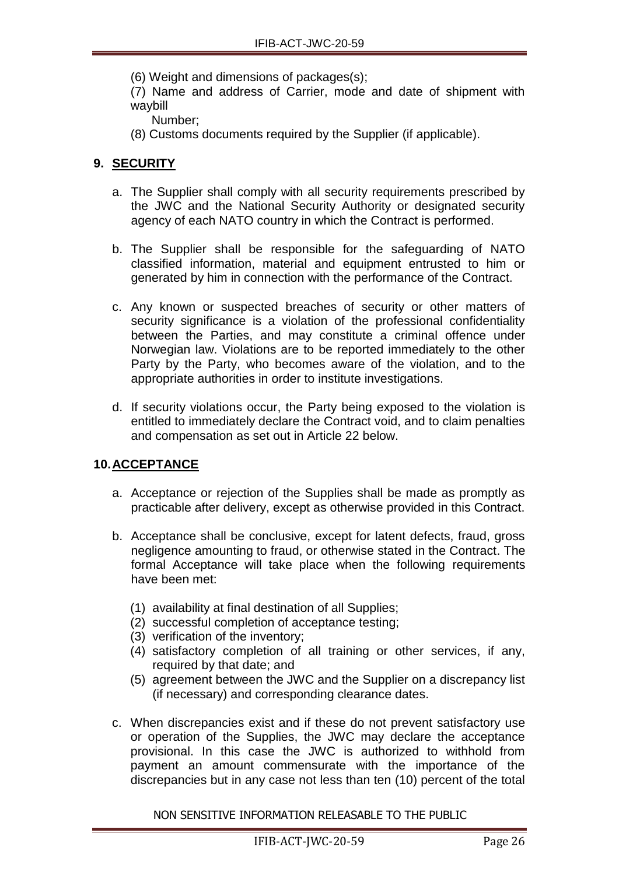(6) Weight and dimensions of packages(s);

(7) Name and address of Carrier, mode and date of shipment with waybill

- Number;
- (8) Customs documents required by the Supplier (if applicable).

# **9. SECURITY**

- a. The Supplier shall comply with all security requirements prescribed by the JWC and the National Security Authority or designated security agency of each NATO country in which the Contract is performed.
- b. The Supplier shall be responsible for the safeguarding of NATO classified information, material and equipment entrusted to him or generated by him in connection with the performance of the Contract.
- c. Any known or suspected breaches of security or other matters of security significance is a violation of the professional confidentiality between the Parties, and may constitute a criminal offence under Norwegian law. Violations are to be reported immediately to the other Party by the Party, who becomes aware of the violation, and to the appropriate authorities in order to institute investigations.
- d. If security violations occur, the Party being exposed to the violation is entitled to immediately declare the Contract void, and to claim penalties and compensation as set out in Article 22 below.

# **10.ACCEPTANCE**

- a. Acceptance or rejection of the Supplies shall be made as promptly as practicable after delivery, except as otherwise provided in this Contract.
- b. Acceptance shall be conclusive, except for latent defects, fraud, gross negligence amounting to fraud, or otherwise stated in the Contract. The formal Acceptance will take place when the following requirements have been met:
	- (1) availability at final destination of all Supplies;
	- (2) successful completion of acceptance testing;
	- (3) verification of the inventory;
	- (4) satisfactory completion of all training or other services, if any, required by that date; and
	- (5) agreement between the JWC and the Supplier on a discrepancy list (if necessary) and corresponding clearance dates.
- c. When discrepancies exist and if these do not prevent satisfactory use or operation of the Supplies, the JWC may declare the acceptance provisional. In this case the JWC is authorized to withhold from payment an amount commensurate with the importance of the discrepancies but in any case not less than ten (10) percent of the total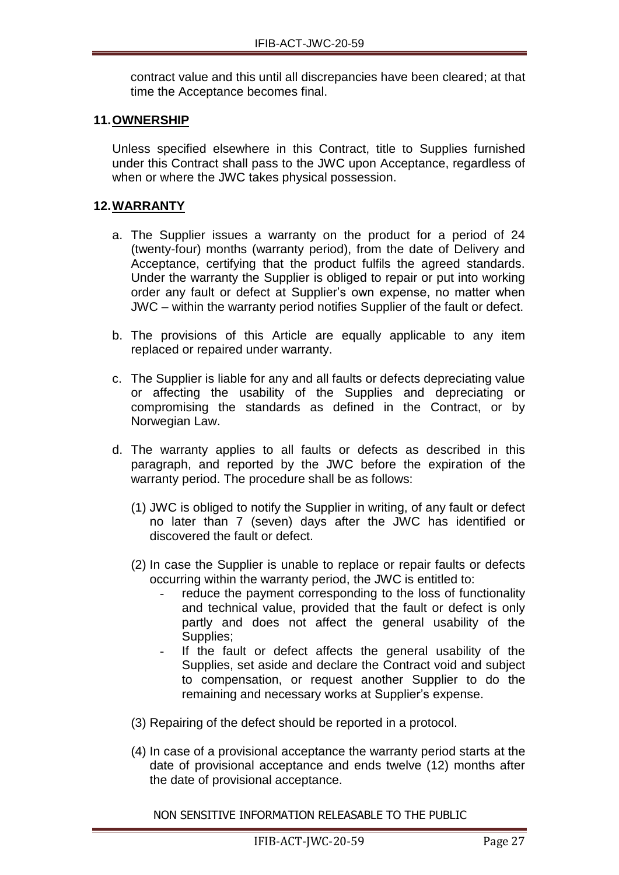contract value and this until all discrepancies have been cleared; at that time the Acceptance becomes final.

#### **11.OWNERSHIP**

Unless specified elsewhere in this Contract, title to Supplies furnished under this Contract shall pass to the JWC upon Acceptance, regardless of when or where the JWC takes physical possession.

# **12.WARRANTY**

- a. The Supplier issues a warranty on the product for a period of 24 (twenty-four) months (warranty period), from the date of Delivery and Acceptance, certifying that the product fulfils the agreed standards. Under the warranty the Supplier is obliged to repair or put into working order any fault or defect at Supplier's own expense, no matter when JWC – within the warranty period notifies Supplier of the fault or defect.
- b. The provisions of this Article are equally applicable to any item replaced or repaired under warranty.
- c. The Supplier is liable for any and all faults or defects depreciating value or affecting the usability of the Supplies and depreciating or compromising the standards as defined in the Contract, or by Norwegian Law.
- d. The warranty applies to all faults or defects as described in this paragraph, and reported by the JWC before the expiration of the warranty period. The procedure shall be as follows:
	- (1) JWC is obliged to notify the Supplier in writing, of any fault or defect no later than 7 (seven) days after the JWC has identified or discovered the fault or defect.
	- (2) In case the Supplier is unable to replace or repair faults or defects occurring within the warranty period, the JWC is entitled to:
		- reduce the payment corresponding to the loss of functionality and technical value, provided that the fault or defect is only partly and does not affect the general usability of the Supplies;
		- If the fault or defect affects the general usability of the Supplies, set aside and declare the Contract void and subject to compensation, or request another Supplier to do the remaining and necessary works at Supplier's expense.
	- (3) Repairing of the defect should be reported in a protocol.
	- (4) In case of a provisional acceptance the warranty period starts at the date of provisional acceptance and ends twelve (12) months after the date of provisional acceptance.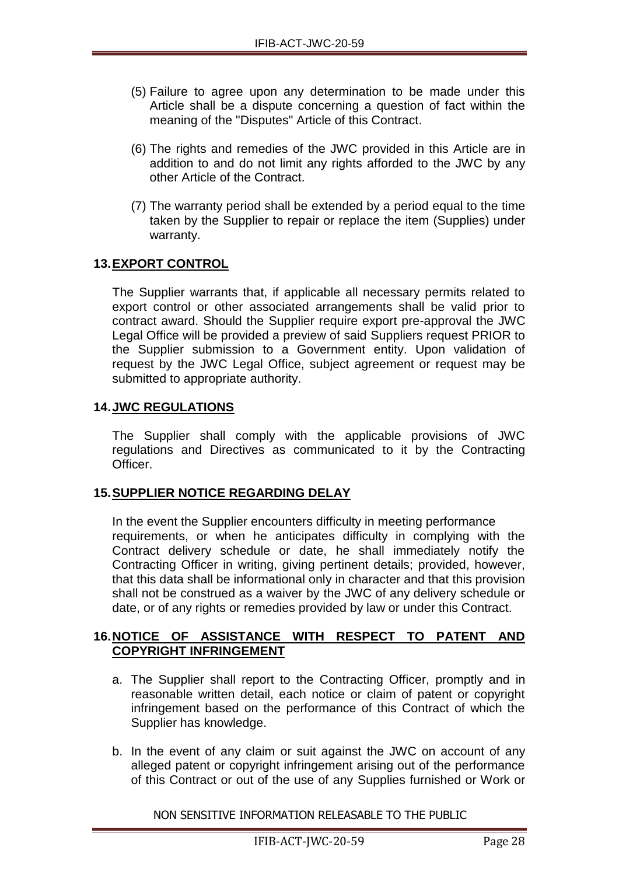- (5) Failure to agree upon any determination to be made under this Article shall be a dispute concerning a question of fact within the meaning of the "Disputes" Article of this Contract.
- (6) The rights and remedies of the JWC provided in this Article are in addition to and do not limit any rights afforded to the JWC by any other Article of the Contract.
- (7) The warranty period shall be extended by a period equal to the time taken by the Supplier to repair or replace the item (Supplies) under warranty.

# **13.EXPORT CONTROL**

The Supplier warrants that, if applicable all necessary permits related to export control or other associated arrangements shall be valid prior to contract award. Should the Supplier require export pre-approval the JWC Legal Office will be provided a preview of said Suppliers request PRIOR to the Supplier submission to a Government entity. Upon validation of request by the JWC Legal Office, subject agreement or request may be submitted to appropriate authority.

# **14.JWC REGULATIONS**

The Supplier shall comply with the applicable provisions of JWC regulations and Directives as communicated to it by the Contracting Officer.

# **15.SUPPLIER NOTICE REGARDING DELAY**

In the event the Supplier encounters difficulty in meeting performance requirements, or when he anticipates difficulty in complying with the Contract delivery schedule or date, he shall immediately notify the Contracting Officer in writing, giving pertinent details; provided, however, that this data shall be informational only in character and that this provision shall not be construed as a waiver by the JWC of any delivery schedule or date, or of any rights or remedies provided by law or under this Contract.

# **16.NOTICE OF ASSISTANCE WITH RESPECT TO PATENT AND COPYRIGHT INFRINGEMENT**

- a. The Supplier shall report to the Contracting Officer, promptly and in reasonable written detail, each notice or claim of patent or copyright infringement based on the performance of this Contract of which the Supplier has knowledge.
- b. In the event of any claim or suit against the JWC on account of any alleged patent or copyright infringement arising out of the performance of this Contract or out of the use of any Supplies furnished or Work or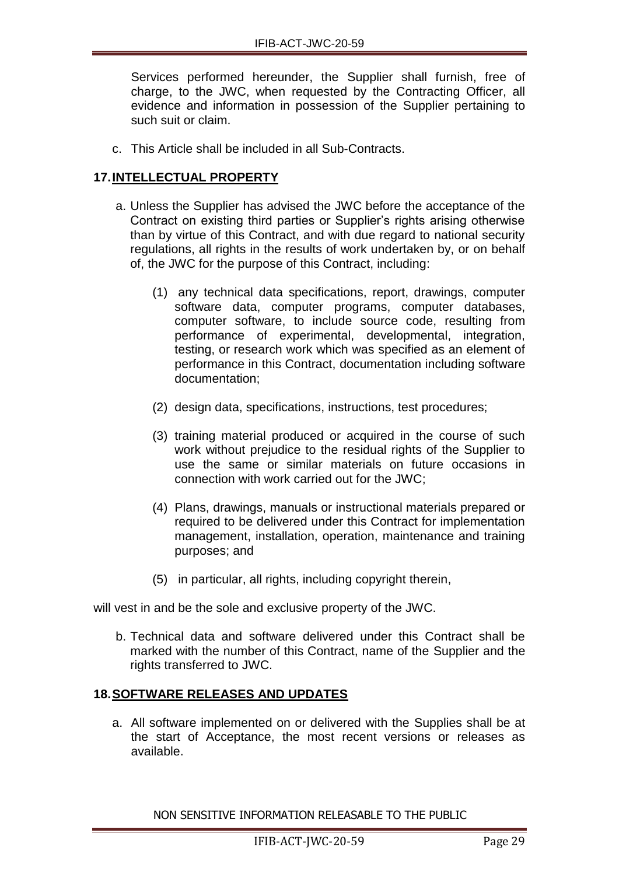Services performed hereunder, the Supplier shall furnish, free of charge, to the JWC, when requested by the Contracting Officer, all evidence and information in possession of the Supplier pertaining to such suit or claim.

c. This Article shall be included in all Sub-Contracts.

# **17.INTELLECTUAL PROPERTY**

- a. Unless the Supplier has advised the JWC before the acceptance of the Contract on existing third parties or Supplier's rights arising otherwise than by virtue of this Contract, and with due regard to national security regulations, all rights in the results of work undertaken by, or on behalf of, the JWC for the purpose of this Contract, including:
	- (1) any technical data specifications, report, drawings, computer software data, computer programs, computer databases, computer software, to include source code, resulting from performance of experimental, developmental, integration, testing, or research work which was specified as an element of performance in this Contract, documentation including software documentation;
	- (2) design data, specifications, instructions, test procedures;
	- (3) training material produced or acquired in the course of such work without prejudice to the residual rights of the Supplier to use the same or similar materials on future occasions in connection with work carried out for the JWC;
	- (4) Plans, drawings, manuals or instructional materials prepared or required to be delivered under this Contract for implementation management, installation, operation, maintenance and training purposes; and
	- (5) in particular, all rights, including copyright therein,

will vest in and be the sole and exclusive property of the JWC.

b. Technical data and software delivered under this Contract shall be marked with the number of this Contract, name of the Supplier and the rights transferred to JWC.

# **18.SOFTWARE RELEASES AND UPDATES**

a. All software implemented on or delivered with the Supplies shall be at the start of Acceptance, the most recent versions or releases as available.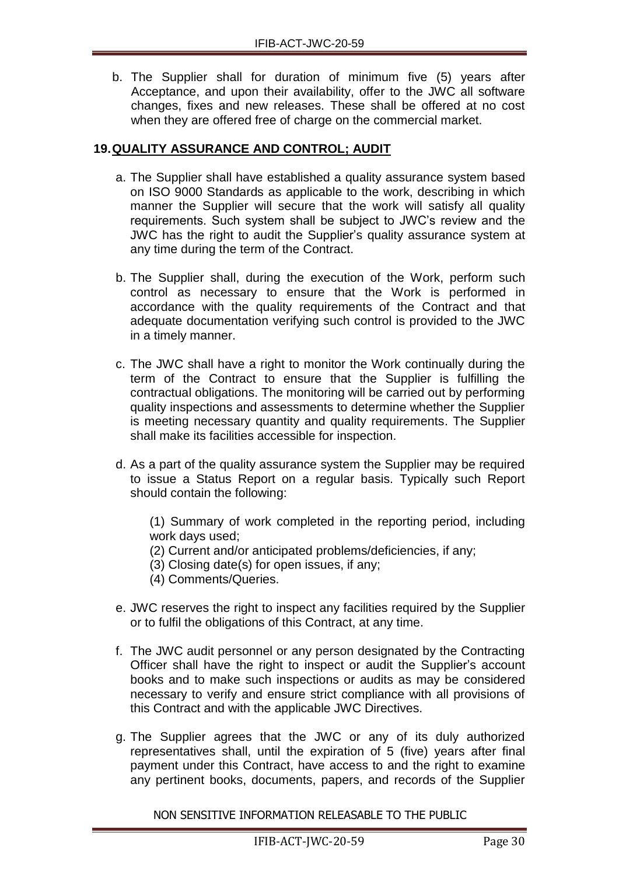b. The Supplier shall for duration of minimum five (5) years after Acceptance, and upon their availability, offer to the JWC all software changes, fixes and new releases. These shall be offered at no cost when they are offered free of charge on the commercial market.

# **19.QUALITY ASSURANCE AND CONTROL; AUDIT**

- a. The Supplier shall have established a quality assurance system based on ISO 9000 Standards as applicable to the work, describing in which manner the Supplier will secure that the work will satisfy all quality requirements. Such system shall be subject to JWC's review and the JWC has the right to audit the Supplier's quality assurance system at any time during the term of the Contract.
- b. The Supplier shall, during the execution of the Work, perform such control as necessary to ensure that the Work is performed in accordance with the quality requirements of the Contract and that adequate documentation verifying such control is provided to the JWC in a timely manner.
- c. The JWC shall have a right to monitor the Work continually during the term of the Contract to ensure that the Supplier is fulfilling the contractual obligations. The monitoring will be carried out by performing quality inspections and assessments to determine whether the Supplier is meeting necessary quantity and quality requirements. The Supplier shall make its facilities accessible for inspection.
- d. As a part of the quality assurance system the Supplier may be required to issue a Status Report on a regular basis. Typically such Report should contain the following:

(1) Summary of work completed in the reporting period, including work days used;

- (2) Current and/or anticipated problems/deficiencies, if any;
- (3) Closing date(s) for open issues, if any;
- (4) Comments/Queries.
- e. JWC reserves the right to inspect any facilities required by the Supplier or to fulfil the obligations of this Contract, at any time.
- f. The JWC audit personnel or any person designated by the Contracting Officer shall have the right to inspect or audit the Supplier's account books and to make such inspections or audits as may be considered necessary to verify and ensure strict compliance with all provisions of this Contract and with the applicable JWC Directives.
- g. The Supplier agrees that the JWC or any of its duly authorized representatives shall, until the expiration of 5 (five) years after final payment under this Contract, have access to and the right to examine any pertinent books, documents, papers, and records of the Supplier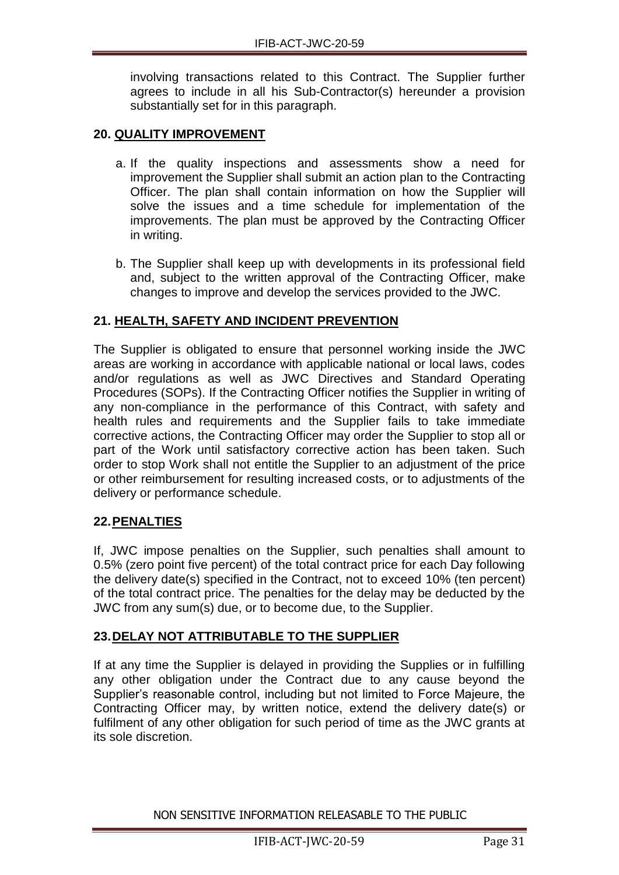involving transactions related to this Contract. The Supplier further agrees to include in all his Sub-Contractor(s) hereunder a provision substantially set for in this paragraph.

# **20. QUALITY IMPROVEMENT**

- a. If the quality inspections and assessments show a need for improvement the Supplier shall submit an action plan to the Contracting Officer. The plan shall contain information on how the Supplier will solve the issues and a time schedule for implementation of the improvements. The plan must be approved by the Contracting Officer in writing.
- b. The Supplier shall keep up with developments in its professional field and, subject to the written approval of the Contracting Officer, make changes to improve and develop the services provided to the JWC.

# **21. HEALTH, SAFETY AND INCIDENT PREVENTION**

The Supplier is obligated to ensure that personnel working inside the JWC areas are working in accordance with applicable national or local laws, codes and/or regulations as well as JWC Directives and Standard Operating Procedures (SOPs). If the Contracting Officer notifies the Supplier in writing of any non-compliance in the performance of this Contract, with safety and health rules and requirements and the Supplier fails to take immediate corrective actions, the Contracting Officer may order the Supplier to stop all or part of the Work until satisfactory corrective action has been taken. Such order to stop Work shall not entitle the Supplier to an adjustment of the price or other reimbursement for resulting increased costs, or to adjustments of the delivery or performance schedule.

# <span id="page-33-0"></span>**22.PENALTIES**

If, JWC impose penalties on the Supplier, such penalties shall amount to 0.5% (zero point five percent) of the total contract price for each Day following the delivery date(s) specified in the Contract, not to exceed 10% (ten percent) of the total contract price. The penalties for the delay may be deducted by the JWC from any sum(s) due, or to become due, to the Supplier.

# **23.DELAY NOT ATTRIBUTABLE TO THE SUPPLIER**

If at any time the Supplier is delayed in providing the Supplies or in fulfilling any other obligation under the Contract due to any cause beyond the Supplier's reasonable control, including but not limited to Force Majeure, the Contracting Officer may, by written notice, extend the delivery date(s) or fulfilment of any other obligation for such period of time as the JWC grants at its sole discretion.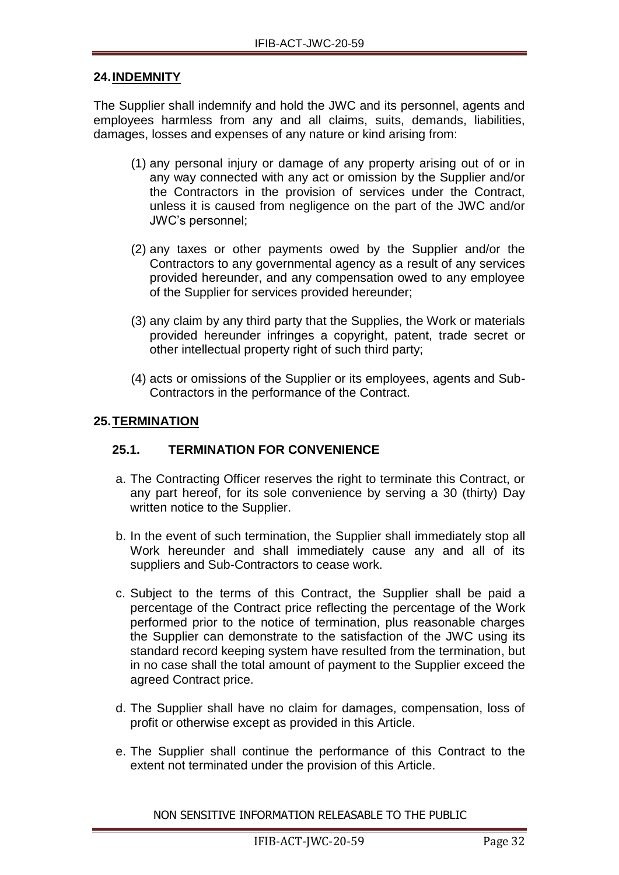# **24.INDEMNITY**

The Supplier shall indemnify and hold the JWC and its personnel, agents and employees harmless from any and all claims, suits, demands, liabilities, damages, losses and expenses of any nature or kind arising from:

- (1) any personal injury or damage of any property arising out of or in any way connected with any act or omission by the Supplier and/or the Contractors in the provision of services under the Contract, unless it is caused from negligence on the part of the JWC and/or JWC's personnel;
- (2) any taxes or other payments owed by the Supplier and/or the Contractors to any governmental agency as a result of any services provided hereunder, and any compensation owed to any employee of the Supplier for services provided hereunder;
- (3) any claim by any third party that the Supplies, the Work or materials provided hereunder infringes a copyright, patent, trade secret or other intellectual property right of such third party;
- (4) acts or omissions of the Supplier or its employees, agents and Sub-Contractors in the performance of the Contract.

#### **25.TERMINATION**

# **25.1. TERMINATION FOR CONVENIENCE**

- a. The Contracting Officer reserves the right to terminate this Contract, or any part hereof, for its sole convenience by serving a 30 (thirty) Day written notice to the Supplier.
- b. In the event of such termination, the Supplier shall immediately stop all Work hereunder and shall immediately cause any and all of its suppliers and Sub-Contractors to cease work.
- c. Subject to the terms of this Contract, the Supplier shall be paid a percentage of the Contract price reflecting the percentage of the Work performed prior to the notice of termination, plus reasonable charges the Supplier can demonstrate to the satisfaction of the JWC using its standard record keeping system have resulted from the termination, but in no case shall the total amount of payment to the Supplier exceed the agreed Contract price.
- d. The Supplier shall have no claim for damages, compensation, loss of profit or otherwise except as provided in this Article.
- e. The Supplier shall continue the performance of this Contract to the extent not terminated under the provision of this Article.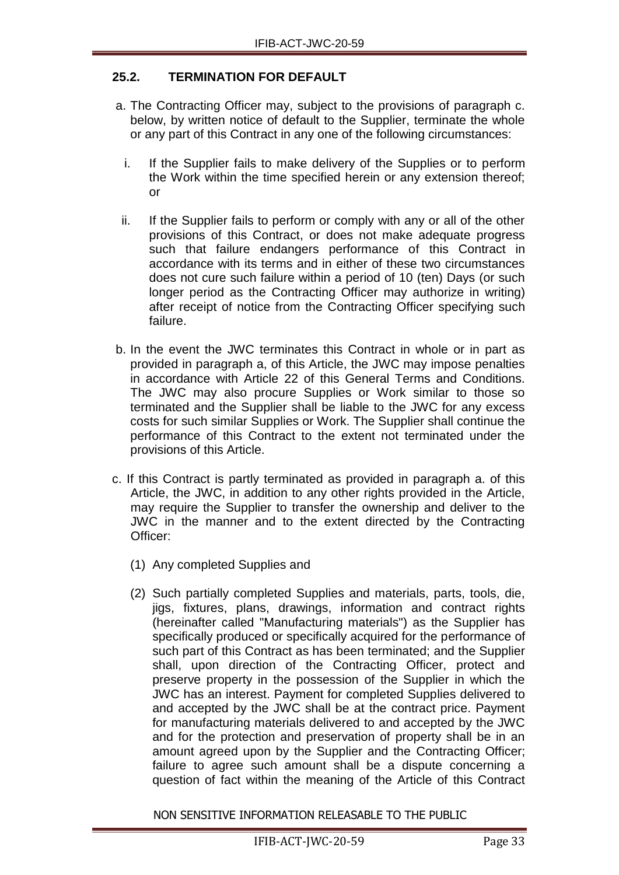# **25.2. TERMINATION FOR DEFAULT**

- a. The Contracting Officer may, subject to the provisions of paragraph c. below, by written notice of default to the Supplier, terminate the whole or any part of this Contract in any one of the following circumstances:
	- i. If the Supplier fails to make delivery of the Supplies or to perform the Work within the time specified herein or any extension thereof; or
- ii. If the Supplier fails to perform or comply with any or all of the other provisions of this Contract, or does not make adequate progress such that failure endangers performance of this Contract in accordance with its terms and in either of these two circumstances does not cure such failure within a period of 10 (ten) Days (or such longer period as the Contracting Officer may authorize in writing) after receipt of notice from the Contracting Officer specifying such failure.
- b. In the event the JWC terminates this Contract in whole or in part as provided in paragraph a, of this Article, the JWC may impose penalties in accordance with Article [22](#page-33-0) of this General Terms and Conditions. The JWC may also procure Supplies or Work similar to those so terminated and the Supplier shall be liable to the JWC for any excess costs for such similar Supplies or Work. The Supplier shall continue the performance of this Contract to the extent not terminated under the provisions of this Article.
- c. If this Contract is partly terminated as provided in paragraph a. of this Article, the JWC, in addition to any other rights provided in the Article, may require the Supplier to transfer the ownership and deliver to the JWC in the manner and to the extent directed by the Contracting Officer:
	- (1) Any completed Supplies and
	- (2) Such partially completed Supplies and materials, parts, tools, die, jigs, fixtures, plans, drawings, information and contract rights (hereinafter called "Manufacturing materials") as the Supplier has specifically produced or specifically acquired for the performance of such part of this Contract as has been terminated; and the Supplier shall, upon direction of the Contracting Officer, protect and preserve property in the possession of the Supplier in which the JWC has an interest. Payment for completed Supplies delivered to and accepted by the JWC shall be at the contract price. Payment for manufacturing materials delivered to and accepted by the JWC and for the protection and preservation of property shall be in an amount agreed upon by the Supplier and the Contracting Officer; failure to agree such amount shall be a dispute concerning a question of fact within the meaning of the Article of this Contract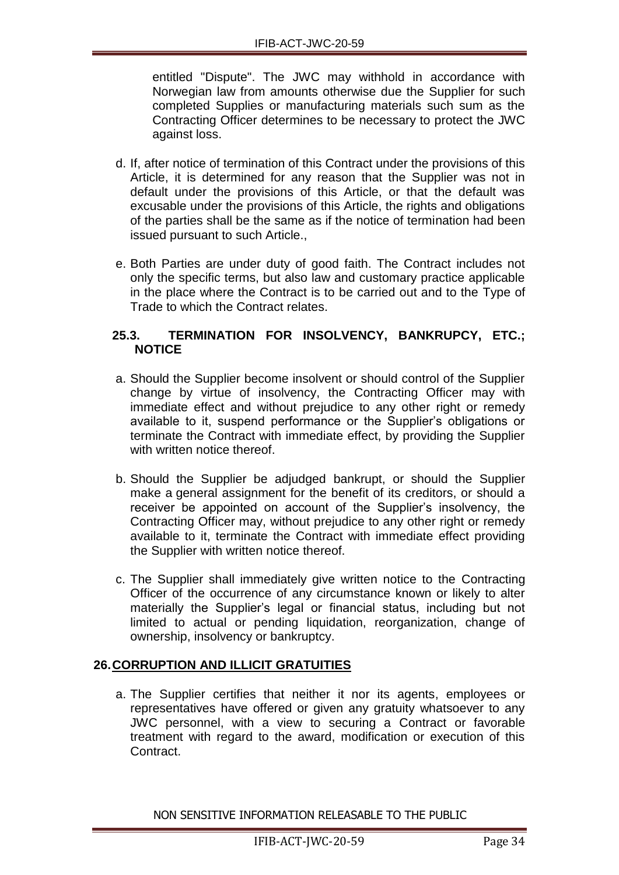entitled "Dispute". The JWC may withhold in accordance with Norwegian law from amounts otherwise due the Supplier for such completed Supplies or manufacturing materials such sum as the Contracting Officer determines to be necessary to protect the JWC against loss.

- d. If, after notice of termination of this Contract under the provisions of this Article, it is determined for any reason that the Supplier was not in default under the provisions of this Article, or that the default was excusable under the provisions of this Article, the rights and obligations of the parties shall be the same as if the notice of termination had been issued pursuant to such Article.,
- e. Both Parties are under duty of good faith. The Contract includes not only the specific terms, but also law and customary practice applicable in the place where the Contract is to be carried out and to the Type of Trade to which the Contract relates.

# **25.3. TERMINATION FOR INSOLVENCY, BANKRUPCY, ETC.; NOTICE**

- a. Should the Supplier become insolvent or should control of the Supplier change by virtue of insolvency, the Contracting Officer may with immediate effect and without prejudice to any other right or remedy available to it, suspend performance or the Supplier's obligations or terminate the Contract with immediate effect, by providing the Supplier with written notice thereof.
- b. Should the Supplier be adjudged bankrupt, or should the Supplier make a general assignment for the benefit of its creditors, or should a receiver be appointed on account of the Supplier's insolvency, the Contracting Officer may, without prejudice to any other right or remedy available to it, terminate the Contract with immediate effect providing the Supplier with written notice thereof.
- c. The Supplier shall immediately give written notice to the Contracting Officer of the occurrence of any circumstance known or likely to alter materially the Supplier's legal or financial status, including but not limited to actual or pending liquidation, reorganization, change of ownership, insolvency or bankruptcy.

# **26.CORRUPTION AND ILLICIT GRATUITIES**

a. The Supplier certifies that neither it nor its agents, employees or representatives have offered or given any gratuity whatsoever to any JWC personnel, with a view to securing a Contract or favorable treatment with regard to the award, modification or execution of this Contract.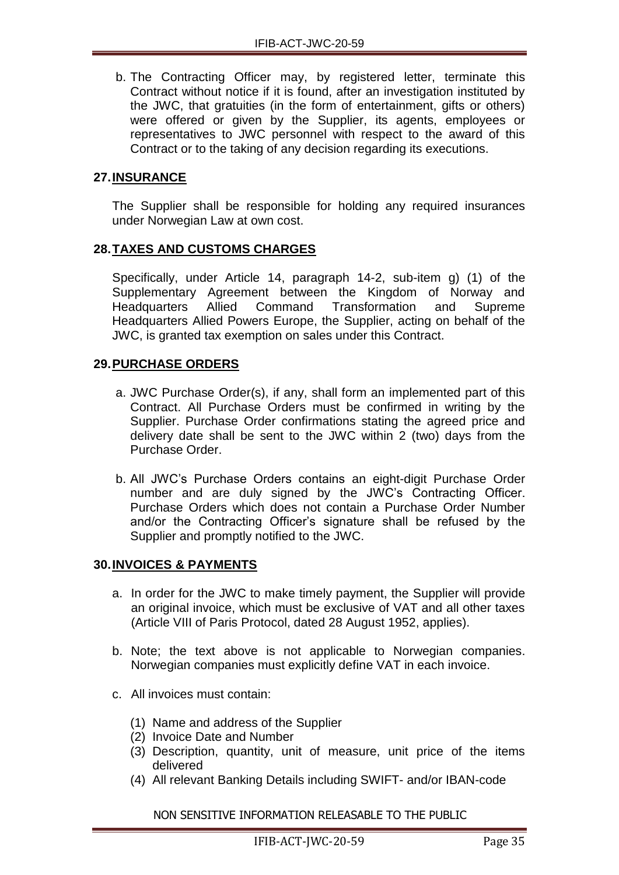b. The Contracting Officer may, by registered letter, terminate this Contract without notice if it is found, after an investigation instituted by the JWC, that gratuities (in the form of entertainment, gifts or others) were offered or given by the Supplier, its agents, employees or representatives to JWC personnel with respect to the award of this Contract or to the taking of any decision regarding its executions.

# **27.INSURANCE**

The Supplier shall be responsible for holding any required insurances under Norwegian Law at own cost.

# **28.TAXES AND CUSTOMS CHARGES**

Specifically, under Article 14, paragraph 14-2, sub-item g) (1) of the Supplementary Agreement between the Kingdom of Norway and Headquarters Allied Command Transformation and Supreme Headquarters Allied Powers Europe, the Supplier, acting on behalf of the JWC, is granted tax exemption on sales under this Contract.

# **29.PURCHASE ORDERS**

- a. JWC Purchase Order(s), if any, shall form an implemented part of this Contract. All Purchase Orders must be confirmed in writing by the Supplier. Purchase Order confirmations stating the agreed price and delivery date shall be sent to the JWC within 2 (two) days from the Purchase Order.
- b. All JWC's Purchase Orders contains an eight-digit Purchase Order number and are duly signed by the JWC's Contracting Officer. Purchase Orders which does not contain a Purchase Order Number and/or the Contracting Officer's signature shall be refused by the Supplier and promptly notified to the JWC.

# **30.INVOICES & PAYMENTS**

- a. In order for the JWC to make timely payment, the Supplier will provide an original invoice, which must be exclusive of VAT and all other taxes (Article VIII of Paris Protocol, dated 28 August 1952, applies).
- b. Note; the text above is not applicable to Norwegian companies. Norwegian companies must explicitly define VAT in each invoice.
- c. All invoices must contain:
	- (1) Name and address of the Supplier
	- (2) Invoice Date and Number
	- (3) Description, quantity, unit of measure, unit price of the items delivered
	- (4) All relevant Banking Details including SWIFT- and/or IBAN-code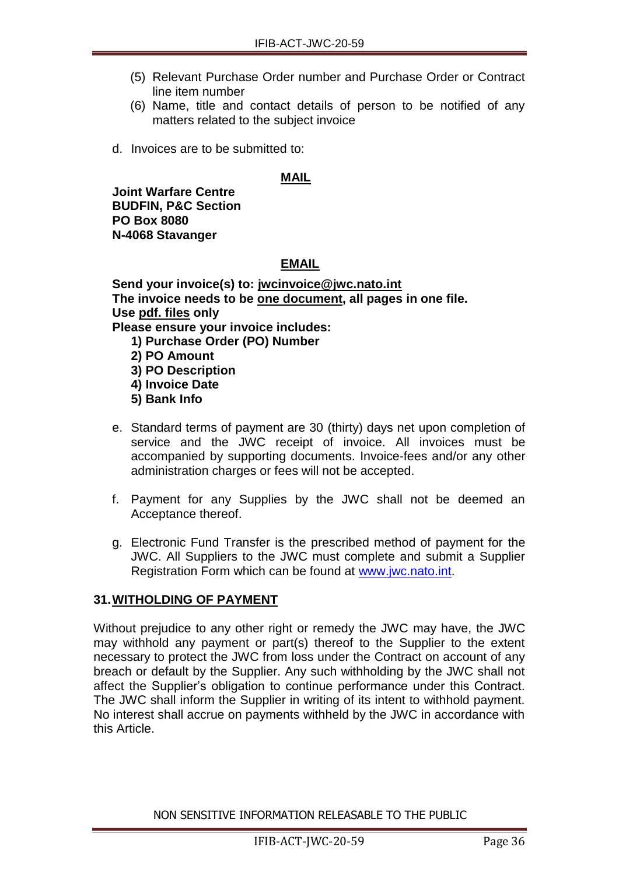- (5) Relevant Purchase Order number and Purchase Order or Contract line item number
- (6) Name, title and contact details of person to be notified of any matters related to the subject invoice
- d. Invoices are to be submitted to:

#### **MAIL**

**Joint Warfare Centre BUDFIN, P&C Section PO Box 8080 N-4068 Stavanger**

# **EMAIL**

**Send your invoice(s) to: jw[cinvoice@jwc.nato.int](mailto:invoice@jwc.nato.int) The invoice needs to be one document, all pages in one file. Use pdf. files only Please ensure your invoice includes: 1) Purchase Order (PO) Number 2) PO Amount 3) PO Description** 

- **4) Invoice Date**
- 
- **5) Bank Info**
- e. Standard terms of payment are 30 (thirty) days net upon completion of service and the JWC receipt of invoice. All invoices must be accompanied by supporting documents. Invoice-fees and/or any other administration charges or fees will not be accepted.
- f. Payment for any Supplies by the JWC shall not be deemed an Acceptance thereof.
- g. Electronic Fund Transfer is the prescribed method of payment for the JWC. All Suppliers to the JWC must complete and submit a Supplier Registration Form which can be found at [www.jwc.nato.int.](http://www.jwc.nato.int/)

# **31.WITHOLDING OF PAYMENT**

Without prejudice to any other right or remedy the JWC may have, the JWC may withhold any payment or part(s) thereof to the Supplier to the extent necessary to protect the JWC from loss under the Contract on account of any breach or default by the Supplier. Any such withholding by the JWC shall not affect the Supplier's obligation to continue performance under this Contract. The JWC shall inform the Supplier in writing of its intent to withhold payment. No interest shall accrue on payments withheld by the JWC in accordance with this Article.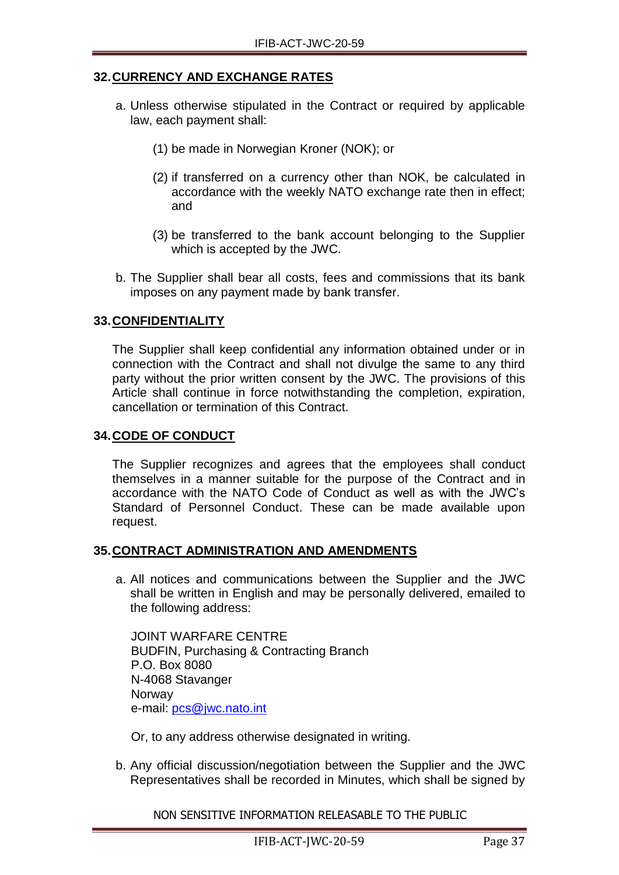# **32.CURRENCY AND EXCHANGE RATES**

- a. Unless otherwise stipulated in the Contract or required by applicable law, each payment shall:
	- (1) be made in Norwegian Kroner (NOK); or
	- (2) if transferred on a currency other than NOK, be calculated in accordance with the weekly NATO exchange rate then in effect; and
	- (3) be transferred to the bank account belonging to the Supplier which is accepted by the JWC.
- b. The Supplier shall bear all costs, fees and commissions that its bank imposes on any payment made by bank transfer.

# **33.CONFIDENTIALITY**

The Supplier shall keep confidential any information obtained under or in connection with the Contract and shall not divulge the same to any third party without the prior written consent by the JWC. The provisions of this Article shall continue in force notwithstanding the completion, expiration, cancellation or termination of this Contract.

# **34.CODE OF CONDUCT**

The Supplier recognizes and agrees that the employees shall conduct themselves in a manner suitable for the purpose of the Contract and in accordance with the NATO Code of Conduct as well as with the JWC's Standard of Personnel Conduct. These can be made available upon request.

# **35.CONTRACT ADMINISTRATION AND AMENDMENTS**

a. All notices and communications between the Supplier and the JWC shall be written in English and may be personally delivered, emailed to the following address:

JOINT WARFARE CENTRE BUDFIN, Purchasing & Contracting Branch P.O. Box 8080 N-4068 Stavanger Norway e-mail: [pcs@jwc.nato.int](mailto:pcs@jwc.nato.int)

Or, to any address otherwise designated in writing.

b. Any official discussion/negotiation between the Supplier and the JWC Representatives shall be recorded in Minutes, which shall be signed by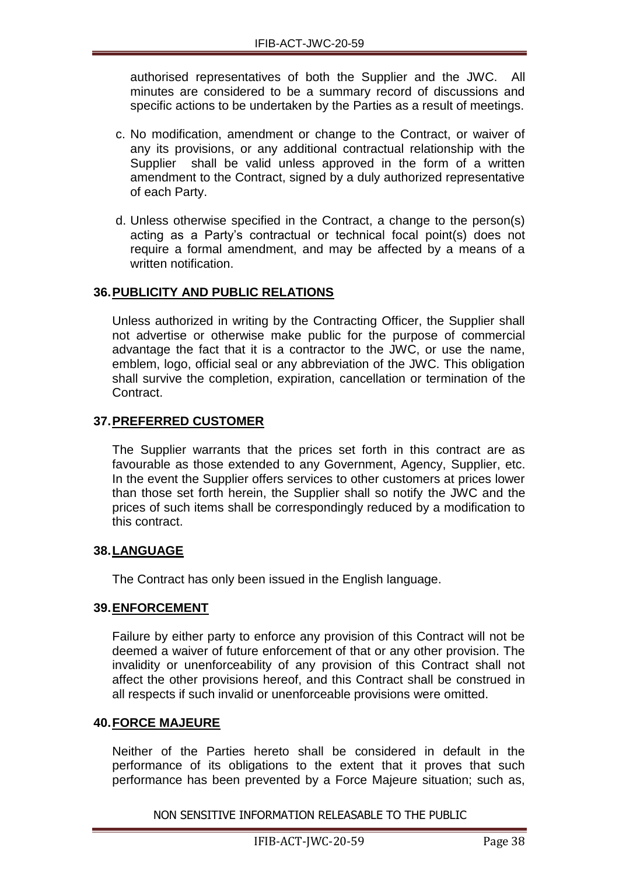authorised representatives of both the Supplier and the JWC. All minutes are considered to be a summary record of discussions and specific actions to be undertaken by the Parties as a result of meetings.

- c. No modification, amendment or change to the Contract, or waiver of any its provisions, or any additional contractual relationship with the Supplier shall be valid unless approved in the form of a written amendment to the Contract, signed by a duly authorized representative of each Party.
- d. Unless otherwise specified in the Contract, a change to the person(s) acting as a Party's contractual or technical focal point(s) does not require a formal amendment, and may be affected by a means of a written notification.

# **36.PUBLICITY AND PUBLIC RELATIONS**

Unless authorized in writing by the Contracting Officer, the Supplier shall not advertise or otherwise make public for the purpose of commercial advantage the fact that it is a contractor to the JWC, or use the name, emblem, logo, official seal or any abbreviation of the JWC. This obligation shall survive the completion, expiration, cancellation or termination of the Contract.

# **37.PREFERRED CUSTOMER**

The Supplier warrants that the prices set forth in this contract are as favourable as those extended to any Government, Agency, Supplier, etc. In the event the Supplier offers services to other customers at prices lower than those set forth herein, the Supplier shall so notify the JWC and the prices of such items shall be correspondingly reduced by a modification to this contract.

# **38.LANGUAGE**

The Contract has only been issued in the English language.

# **39.ENFORCEMENT**

Failure by either party to enforce any provision of this Contract will not be deemed a waiver of future enforcement of that or any other provision. The invalidity or unenforceability of any provision of this Contract shall not affect the other provisions hereof, and this Contract shall be construed in all respects if such invalid or unenforceable provisions were omitted.

# **40.FORCE MAJEURE**

Neither of the Parties hereto shall be considered in default in the performance of its obligations to the extent that it proves that such performance has been prevented by a Force Majeure situation; such as,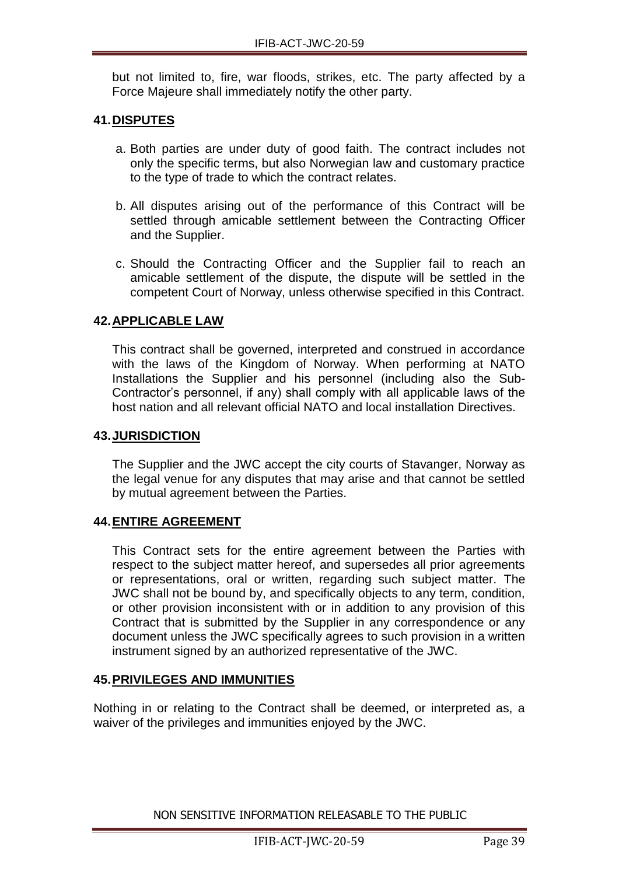but not limited to, fire, war floods, strikes, etc. The party affected by a Force Majeure shall immediately notify the other party.

# **41.DISPUTES**

- a. Both parties are under duty of good faith. The contract includes not only the specific terms, but also Norwegian law and customary practice to the type of trade to which the contract relates.
- b. All disputes arising out of the performance of this Contract will be settled through amicable settlement between the Contracting Officer and the Supplier.
- c. Should the Contracting Officer and the Supplier fail to reach an amicable settlement of the dispute, the dispute will be settled in the competent Court of Norway, unless otherwise specified in this Contract.

# **42.APPLICABLE LAW**

This contract shall be governed, interpreted and construed in accordance with the laws of the Kingdom of Norway. When performing at NATO Installations the Supplier and his personnel (including also the Sub-Contractor's personnel, if any) shall comply with all applicable laws of the host nation and all relevant official NATO and local installation Directives.

#### **43.JURISDICTION**

The Supplier and the JWC accept the city courts of Stavanger, Norway as the legal venue for any disputes that may arise and that cannot be settled by mutual agreement between the Parties.

# **44.ENTIRE AGREEMENT**

This Contract sets for the entire agreement between the Parties with respect to the subject matter hereof, and supersedes all prior agreements or representations, oral or written, regarding such subject matter. The JWC shall not be bound by, and specifically objects to any term, condition, or other provision inconsistent with or in addition to any provision of this Contract that is submitted by the Supplier in any correspondence or any document unless the JWC specifically agrees to such provision in a written instrument signed by an authorized representative of the JWC.

# **45.PRIVILEGES AND IMMUNITIES**

Nothing in or relating to the Contract shall be deemed, or interpreted as, a waiver of the privileges and immunities enjoyed by the JWC.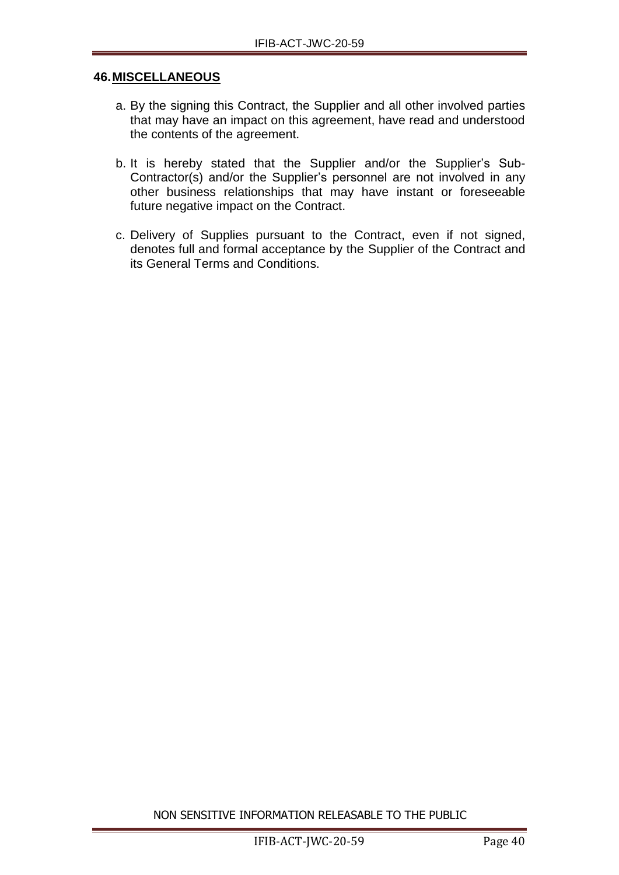# **46.MISCELLANEOUS**

- a. By the signing this Contract, the Supplier and all other involved parties that may have an impact on this agreement, have read and understood the contents of the agreement.
- b. It is hereby stated that the Supplier and/or the Supplier's Sub-Contractor(s) and/or the Supplier's personnel are not involved in any other business relationships that may have instant or foreseeable future negative impact on the Contract.
- c. Delivery of Supplies pursuant to the Contract, even if not signed, denotes full and formal acceptance by the Supplier of the Contract and its General Terms and Conditions.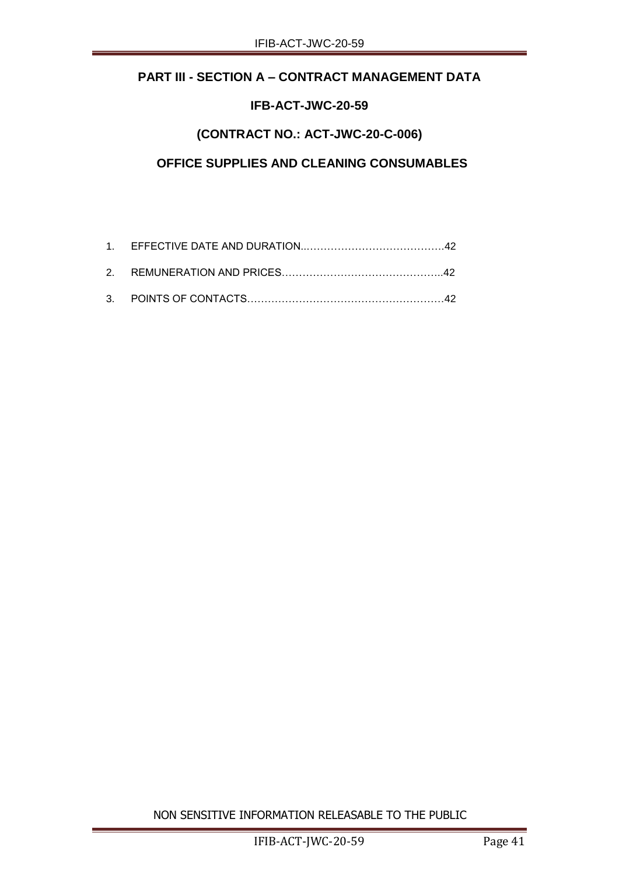# **PART III - SECTION A – CONTRACT MANAGEMENT DATA**

# **IFB-ACT-JWC-20-59**

# **(CONTRACT NO.: ACT-JWC-20-C-006)**

# **OFFICE SUPPLIES AND CLEANING CONSUMABLES**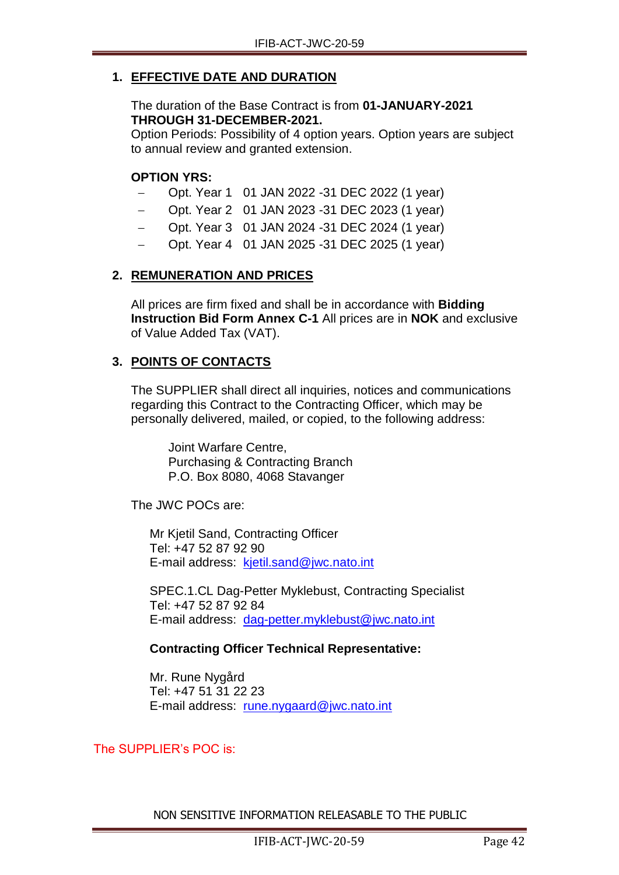# <span id="page-44-0"></span>**1. EFFECTIVE DATE AND DURATION**

# The duration of the Base Contract is from **01-JANUARY-2021 THROUGH 31-DECEMBER-2021.**

Option Periods: Possibility of 4 option years. Option years are subject to annual review and granted extension.

# **OPTION YRS:**

- Opt. Year 1 01 JAN 2022 -31 DEC 2022 (1 year)
- Opt. Year 2 01 JAN 2023 -31 DEC 2023 (1 year)
- Opt. Year 3 01 JAN 2024 -31 DEC 2024 (1 year)
- Opt. Year 4 01 JAN 2025 -31 DEC 2025 (1 year)

# <span id="page-44-1"></span>**2. REMUNERATION AND PRICES**

All prices are firm fixed and shall be in accordance with **Bidding Instruction Bid Form Annex C-1** All prices are in **NOK** and exclusive of Value Added Tax (VAT).

# <span id="page-44-2"></span>**3. POINTS OF CONTACTS**

The SUPPLIER shall direct all inquiries, notices and communications regarding this Contract to the Contracting Officer, which may be personally delivered, mailed, or copied, to the following address:

Joint Warfare Centre, Purchasing & Contracting Branch P.O. Box 8080, 4068 Stavanger

The JWC POCs are:

Mr Kjetil Sand, Contracting Officer Tel: +47 52 87 92 90 E-mail address: [kjetil.sand@jwc.nato.int](mailto:kjetil.sand@jwc.nato.int) 

SPEC.1.CL Dag-Petter Myklebust, Contracting Specialist Tel: +47 52 87 92 84 E-mail address: [dag-petter.myklebust@jwc.nato.int](mailto:dag-petter.myklebust@jwc.nato.int)

# **Contracting Officer Technical Representative:**

Mr. Rune Nygård Tel: +47 51 31 22 23 E-mail address: [rune.nygaard@jwc.nato.int](mailto:rune.nygaard@jwc.nato.int)

# The SUPPLIER's POC is: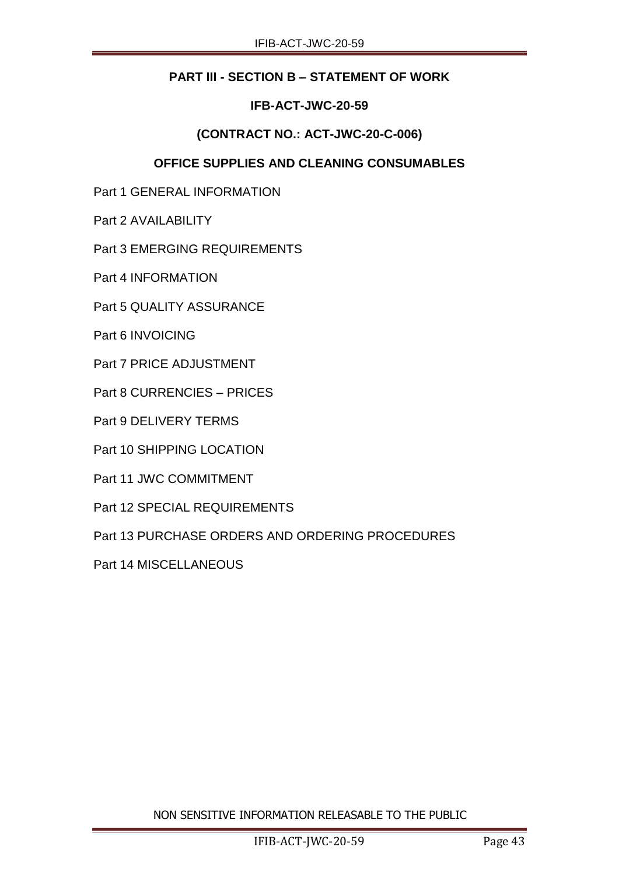# **PART III - SECTION B – STATEMENT OF WORK**

# **IFB-ACT-JWC-20-59**

# **(CONTRACT NO.: ACT-JWC-20-C-006)**

# **OFFICE SUPPLIES AND CLEANING CONSUMABLES**

Part 1 GENERAL INFORMATION

Part 2 AVAILABILITY

Part 3 EMERGING REQUIREMENTS

Part 4 INFORMATION

Part 5 QUALITY ASSURANCE

Part 6 INVOICING

Part 7 PRICE ADJUSTMENT

Part 8 CURRENCIES – PRICES

Part 9 DELIVERY TERMS

Part 10 SHIPPING LOCATION

Part 11 JWC COMMITMENT

Part 12 SPECIAL REQUIREMENTS

Part 13 PURCHASE ORDERS AND ORDERING PROCEDURES

Part 14 MISCELLANEOUS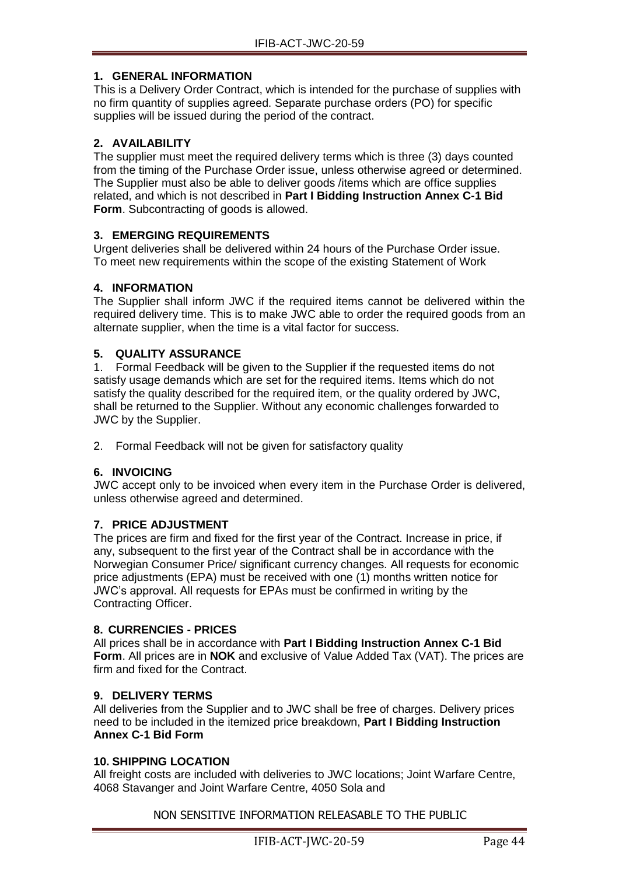#### **1. GENERAL INFORMATION**

This is a Delivery Order Contract, which is intended for the purchase of supplies with no firm quantity of supplies agreed. Separate purchase orders (PO) for specific supplies will be issued during the period of the contract.

#### **2. AVAILABILITY**

The supplier must meet the required delivery terms which is three (3) days counted from the timing of the Purchase Order issue, unless otherwise agreed or determined. The Supplier must also be able to deliver goods /items which are office supplies related, and which is not described in **Part I Bidding Instruction Annex C-1 Bid Form**. Subcontracting of goods is allowed.

#### **3. EMERGING REQUIREMENTS**

Urgent deliveries shall be delivered within 24 hours of the Purchase Order issue. To meet new requirements within the scope of the existing Statement of Work

#### **4. INFORMATION**

The Supplier shall inform JWC if the required items cannot be delivered within the required delivery time. This is to make JWC able to order the required goods from an alternate supplier, when the time is a vital factor for success.

#### **5. QUALITY ASSURANCE**

1. Formal Feedback will be given to the Supplier if the requested items do not satisfy usage demands which are set for the required items. Items which do not satisfy the quality described for the required item, or the quality ordered by JWC, shall be returned to the Supplier. Without any economic challenges forwarded to JWC by the Supplier.

2. Formal Feedback will not be given for satisfactory quality

# **6. INVOICING**

JWC accept only to be invoiced when every item in the Purchase Order is delivered, unless otherwise agreed and determined.

#### **7. PRICE ADJUSTMENT**

The prices are firm and fixed for the first year of the Contract. Increase in price, if any, subsequent to the first year of the Contract shall be in accordance with the Norwegian Consumer Price/ significant currency changes. All requests for economic price adjustments (EPA) must be received with one (1) months written notice for JWC's approval. All requests for EPAs must be confirmed in writing by the Contracting Officer.

#### **8. CURRENCIES - PRICES**

All prices shall be in accordance with **Part I Bidding Instruction Annex C-1 Bid Form**. All prices are in **NOK** and exclusive of Value Added Tax (VAT). The prices are firm and fixed for the Contract.

#### **9. DELIVERY TERMS**

All deliveries from the Supplier and to JWC shall be free of charges. Delivery prices need to be included in the itemized price breakdown, **Part I Bidding Instruction Annex C-1 Bid Form**

#### **10. SHIPPING LOCATION**

All freight costs are included with deliveries to JWC locations; Joint Warfare Centre, 4068 Stavanger and Joint Warfare Centre, 4050 Sola and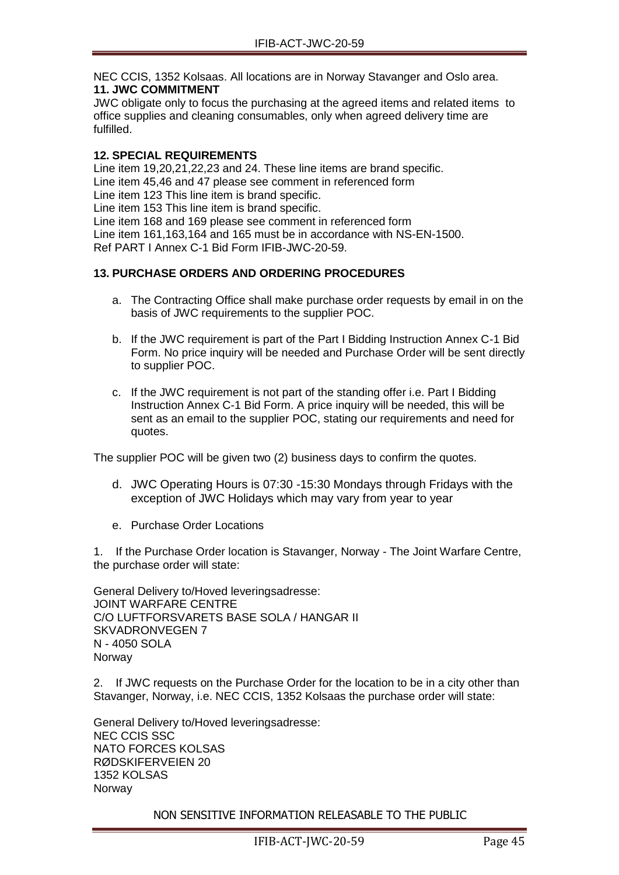NEC CCIS, 1352 Kolsaas. All locations are in Norway Stavanger and Oslo area. **11. JWC COMMITMENT**

JWC obligate only to focus the purchasing at the agreed items and related items to office supplies and cleaning consumables, only when agreed delivery time are fulfilled.

#### **12. SPECIAL REQUIREMENTS**

Line item 19,20,21,22,23 and 24. These line items are brand specific. Line item 45,46 and 47 please see comment in referenced form Line item 123 This line item is brand specific. Line item 153 This line item is brand specific. Line item 168 and 169 please see comment in referenced form Line item 161,163,164 and 165 must be in accordance with NS-EN-1500. Ref PART I Annex C-1 Bid Form IFIB-JWC-20-59.

#### **13. PURCHASE ORDERS AND ORDERING PROCEDURES**

- a. The Contracting Office shall make purchase order requests by email in on the basis of JWC requirements to the supplier POC.
- b. If the JWC requirement is part of the Part I Bidding Instruction Annex C-1 Bid Form. No price inquiry will be needed and Purchase Order will be sent directly to supplier POC.
- c. If the JWC requirement is not part of the standing offer i.e. Part I Bidding Instruction Annex C-1 Bid Form. A price inquiry will be needed, this will be sent as an email to the supplier POC, stating our requirements and need for quotes.

The supplier POC will be given two (2) business days to confirm the quotes.

- d. JWC Operating Hours is 07:30 -15:30 Mondays through Fridays with the exception of JWC Holidays which may vary from year to year
- e. Purchase Order Locations

1. If the Purchase Order location is Stavanger, Norway - The Joint Warfare Centre, the purchase order will state:

General Delivery to/Hoved leveringsadresse: JOINT WARFARE CENTRE C/O LUFTFORSVARETS BASE SOLA / HANGAR II SKVADRONVEGEN 7 N - 4050 SOLA Norway

2. If JWC requests on the Purchase Order for the location to be in a city other than Stavanger, Norway, i.e. NEC CCIS, 1352 Kolsaas the purchase order will state:

General Delivery to/Hoved leveringsadresse: NEC CCIS SSC NATO FORCES KOLSAS RØDSKIFERVEIEN 20 1352 KOLSAS Norway